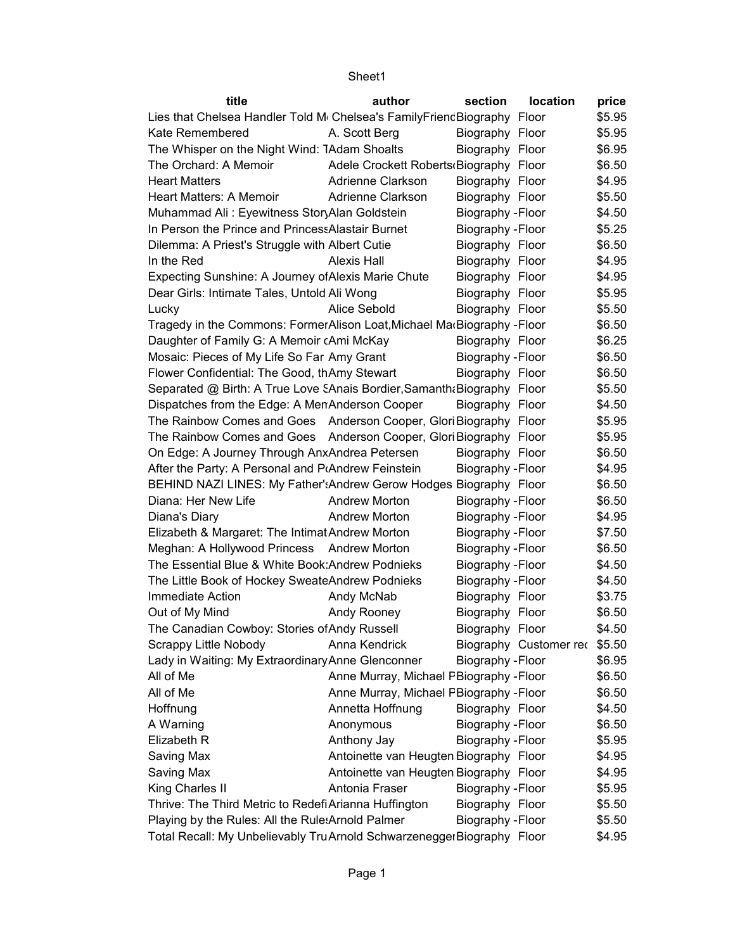| title                                                                    | author                                  | section           | location               | price  |
|--------------------------------------------------------------------------|-----------------------------------------|-------------------|------------------------|--------|
| Lies that Chelsea Handler Told M Chelsea's Family Friend Biography Floor |                                         |                   |                        | \$5.95 |
| Kate Remembered                                                          | A. Scott Berg                           | Biography Floor   |                        | \$5.95 |
| The Whisper on the Night Wind: 1Adam Shoalts                             |                                         | Biography Floor   |                        | \$6.95 |
| The Orchard: A Memoir                                                    | Adele Crockett Roberts Biography Floor  |                   |                        | \$6.50 |
| <b>Heart Matters</b>                                                     | Adrienne Clarkson                       | Biography Floor   |                        | \$4.95 |
| Heart Matters: A Memoir                                                  | Adrienne Clarkson                       | Biography Floor   |                        | \$5.50 |
| Muhammad Ali: Eyewitness StoryAlan Goldstein                             |                                         | Biography - Floor |                        | \$4.50 |
| In Person the Prince and Princess Alastair Burnet                        |                                         | Biography - Floor |                        | \$5.25 |
| Dilemma: A Priest's Struggle with Albert Cutie                           |                                         | Biography Floor   |                        | \$6.50 |
| In the Red                                                               | Alexis Hall                             | Biography Floor   |                        | \$4.95 |
| Expecting Sunshine: A Journey of Alexis Marie Chute                      |                                         | Biography Floor   |                        | \$4.95 |
| Dear Girls: Intimate Tales, Untold Ali Wong                              |                                         | Biography Floor   |                        | \$5.95 |
| Lucky                                                                    | Alice Sebold                            | Biography Floor   |                        | \$5.50 |
| Tragedy in the Commons: FormerAlison Loat, Michael Ma Biography - Floor  |                                         |                   |                        | \$6.50 |
| Daughter of Family G: A Memoir cAmi McKay                                |                                         | Biography Floor   |                        | \$6.25 |
| Mosaic: Pieces of My Life So Far Amy Grant                               |                                         | Biography - Floor |                        | \$6.50 |
| Flower Confidential: The Good, thAmy Stewart                             |                                         | Biography Floor   |                        | \$6.50 |
| Separated @ Birth: A True Love SAnais Bordier, Samanth & Biography Floor |                                         |                   |                        | \$5.50 |
| Dispatches from the Edge: A MenAnderson Cooper                           |                                         | Biography Floor   |                        | \$4.50 |
| The Rainbow Comes and Goes Anderson Cooper, Glori Biography Floor        |                                         |                   |                        | \$5.95 |
| The Rainbow Comes and Goes Anderson Cooper, Glori Biography Floor        |                                         |                   |                        | \$5.95 |
| On Edge: A Journey Through AnxAndrea Petersen                            |                                         | Biography Floor   |                        | \$6.50 |
| After the Party: A Personal and P(Andrew Feinstein                       |                                         | Biography - Floor |                        | \$4.95 |
| BEHIND NAZI LINES: My Father': Andrew Gerow Hodges Biography Floor       |                                         |                   |                        | \$6.50 |
| Diana: Her New Life                                                      | <b>Andrew Morton</b>                    | Biography - Floor |                        | \$6.50 |
| Diana's Diary                                                            | <b>Andrew Morton</b>                    | Biography - Floor |                        | \$4.95 |
| Elizabeth & Margaret: The Intimat Andrew Morton                          |                                         | Biography - Floor |                        | \$7.50 |
| Meghan: A Hollywood Princess Andrew Morton                               |                                         | Biography - Floor |                        | \$6.50 |
| The Essential Blue & White Book: Andrew Podnieks                         |                                         | Biography - Floor |                        | \$4.50 |
| The Little Book of Hockey SweateAndrew Podnieks                          |                                         | Biography - Floor |                        | \$4.50 |
| Immediate Action                                                         | Andy McNab                              | Biography Floor   |                        | \$3.75 |
| Out of My Mind                                                           | Andy Rooney                             | Biography Floor   |                        | \$6.50 |
| The Canadian Cowboy: Stories of Andy Russell                             |                                         | Biography Floor   |                        | \$4.50 |
| Scrappy Little Nobody                                                    | Anna Kendrick                           |                   | Biography Customer rec | \$5.50 |
| Lady in Waiting: My Extraordinary Anne Glenconner                        |                                         | Biography - Floor |                        | \$6.95 |
| All of Me                                                                | Anne Murray, Michael PBiography - Floor |                   |                        | \$6.50 |
| All of Me                                                                | Anne Murray, Michael PBiography - Floor |                   |                        | \$6.50 |
| Hoffnung                                                                 | Annetta Hoffnung                        | Biography Floor   |                        | \$4.50 |
| A Warning                                                                | Anonymous                               | Biography - Floor |                        | \$6.50 |
| Elizabeth R                                                              | Anthony Jay                             | Biography - Floor |                        | \$5.95 |
| Saving Max                                                               | Antoinette van Heugten Biography Floor  |                   |                        | \$4.95 |
| Saving Max                                                               | Antoinette van Heugten Biography Floor  |                   |                        | \$4.95 |
| King Charles II                                                          | Antonia Fraser                          | Biography - Floor |                        | \$5.95 |
| Thrive: The Third Metric to Redefi Arianna Huffington                    |                                         | Biography Floor   |                        | \$5.50 |
| Playing by the Rules: All the Rule: Arnold Palmer                        |                                         | Biography - Floor |                        | \$5.50 |
| Total Recall: My Unbelievably TruArnold SchwarzeneggerBiography Floor    |                                         |                   |                        | \$4.95 |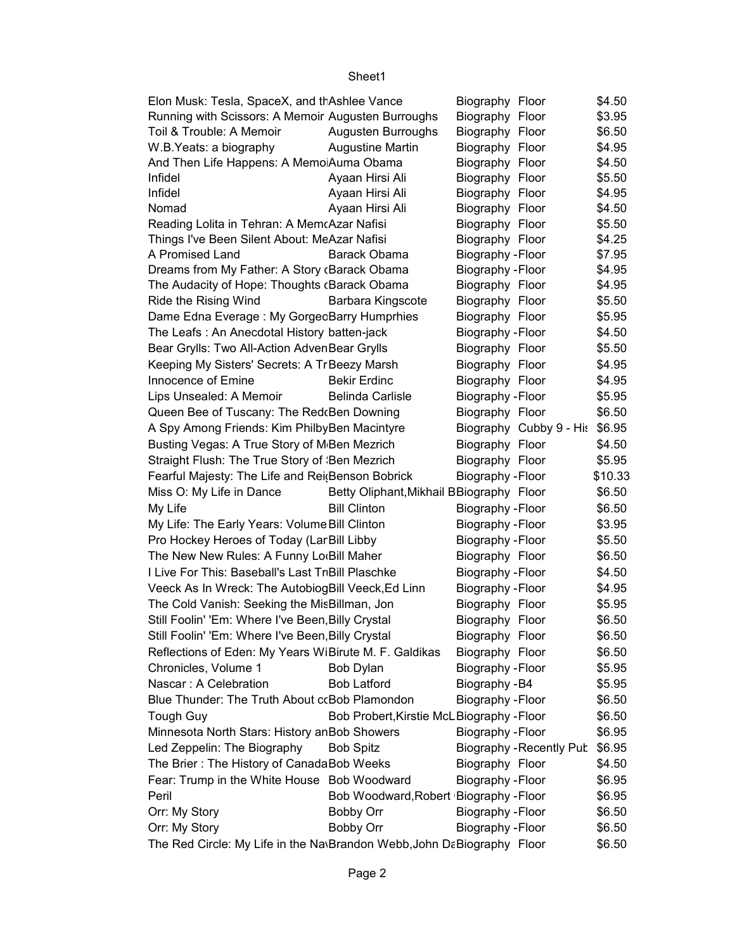| Elon Musk: Tesla, SpaceX, and th Ashlee Vance                          |                                           | Biography Floor   |                                 | \$4.50            |
|------------------------------------------------------------------------|-------------------------------------------|-------------------|---------------------------------|-------------------|
| Running with Scissors: A Memoir Augusten Burroughs                     |                                           | Biography Floor   |                                 | \$3.95            |
| Toil & Trouble: A Memoir                                               | Augusten Burroughs                        | Biography Floor   |                                 | \$6.50            |
| W.B. Yeats: a biography                                                | <b>Augustine Martin</b>                   | Biography Floor   |                                 | \$4.95            |
| And Then Life Happens: A MemoiAuma Obama                               |                                           | Biography Floor   |                                 | \$4.50            |
| Infidel                                                                | Ayaan Hirsi Ali                           | Biography Floor   |                                 | \$5.50            |
| Infidel                                                                | Ayaan Hirsi Ali                           | Biography Floor   |                                 | \$4.95            |
| Nomad                                                                  | Ayaan Hirsi Ali                           | Biography Floor   |                                 | \$4.50            |
| Reading Lolita in Tehran: A MemcAzar Nafisi                            |                                           | Biography Floor   |                                 | \$5.50            |
| Things I've Been Silent About: MeAzar Nafisi                           |                                           | Biography Floor   |                                 | \$4.25            |
| A Promised Land                                                        | <b>Barack Obama</b>                       | Biography - Floor |                                 | \$7.95            |
| Dreams from My Father: A Story (Barack Obama                           |                                           | Biography - Floor |                                 | \$4.95            |
| The Audacity of Hope: Thoughts (Barack Obama                           |                                           | Biography Floor   |                                 | \$4.95            |
| Ride the Rising Wind                                                   | <b>Barbara Kingscote</b>                  | Biography Floor   |                                 | \$5.50            |
| Dame Edna Everage: My GorgecBarry Humprhies                            |                                           | Biography Floor   |                                 | \$5.95            |
| The Leafs: An Anecdotal History batten-jack                            |                                           | Biography - Floor |                                 | \$4.50            |
| Bear Grylls: Two All-Action AdvenBear Grylls                           |                                           | Biography Floor   |                                 | \$5.50            |
| Keeping My Sisters' Secrets: A Tr Beezy Marsh                          |                                           | Biography Floor   |                                 | \$4.95            |
| Innocence of Emine                                                     | <b>Bekir Erdinc</b>                       | Biography Floor   |                                 | \$4.95            |
| Lips Unsealed: A Memoir                                                | <b>Belinda Carlisle</b>                   | Biography - Floor |                                 | \$5.95            |
| Queen Bee of Tuscany: The Red(Ben Downing                              |                                           | Biography Floor   |                                 | \$6.50            |
| A Spy Among Friends: Kim PhilbyBen Macintyre                           |                                           |                   | Biography Cubby 9 - His \$6.95  |                   |
| Busting Vegas: A True Story of M Ben Mezrich                           |                                           | Biography Floor   |                                 | \$4.50            |
| Straight Flush: The True Story of Ben Mezrich                          |                                           | Biography Floor   |                                 | \$5.95            |
|                                                                        |                                           |                   |                                 |                   |
| Fearful Majesty: The Life and Rei(Benson Bobrick                       |                                           | Biography - Floor |                                 | \$10.33<br>\$6.50 |
| Miss O: My Life in Dance                                               | Betty Oliphant, Mikhail BBiography Floor  |                   |                                 |                   |
| My Life                                                                | <b>Bill Clinton</b>                       | Biography - Floor |                                 | \$6.50            |
| My Life: The Early Years: Volume Bill Clinton                          |                                           | Biography - Floor |                                 | \$3.95            |
| Pro Hockey Heroes of Today (Lar Bill Libby                             |                                           | Biography - Floor |                                 | \$5.50            |
| The New New Rules: A Funny Lo <sub>'</sub> Bill Maher                  |                                           | Biography Floor   |                                 | \$6.50            |
| I Live For This: Baseball's Last TriBill Plaschke                      |                                           | Biography - Floor |                                 | \$4.50            |
| Veeck As In Wreck: The AutobiogBill Veeck, Ed Linn                     |                                           | Biography - Floor |                                 | \$4.95            |
| The Cold Vanish: Seeking the MisBillman, Jon                           |                                           | Biography Floor   |                                 | \$5.95            |
| Still Foolin' 'Em: Where I've Been, Billy Crystal                      |                                           | Biography Floor   |                                 | \$6.50            |
| Still Foolin' 'Em: Where I've Been, Billy Crystal                      |                                           | Biography Floor   |                                 | \$6.50            |
| Reflections of Eden: My Years WiBirute M. F. Galdikas                  |                                           | Biography Floor   |                                 | \$6.50            |
| Chronicles, Volume 1                                                   | <b>Bob Dylan</b>                          | Biography - Floor |                                 | \$5.95            |
| Nascar: A Celebration                                                  | <b>Bob Latford</b>                        | Biography - B4    |                                 | \$5.95            |
| Blue Thunder: The Truth About ccBob Plamondon                          |                                           | Biography - Floor |                                 | \$6.50            |
| <b>Tough Guy</b>                                                       | Bob Probert, Kirstie McLBiography - Floor |                   |                                 | \$6.50            |
| Minnesota North Stars: History anBob Showers                           |                                           | Biography - Floor |                                 | \$6.95            |
| Led Zeppelin: The Biography                                            | <b>Bob Spitz</b>                          |                   | <b>Biography - Recently Pub</b> | \$6.95            |
| The Brier: The History of CanadaBob Weeks                              |                                           | Biography Floor   |                                 | \$4.50            |
| Fear: Trump in the White House Bob Woodward                            |                                           | Biography - Floor |                                 | \$6.95            |
| Peril                                                                  | Bob Woodward, Robert Biography - Floor    |                   |                                 | \$6.95            |
| Orr: My Story                                                          | Bobby Orr                                 | Biography - Floor |                                 | \$6.50            |
| Orr: My Story                                                          | Bobby Orr                                 | Biography - Floor |                                 | \$6.50            |
| The Red Circle: My Life in the Na\Brandon Webb, John DaBiography Floor |                                           |                   |                                 | \$6.50            |
|                                                                        |                                           |                   |                                 |                   |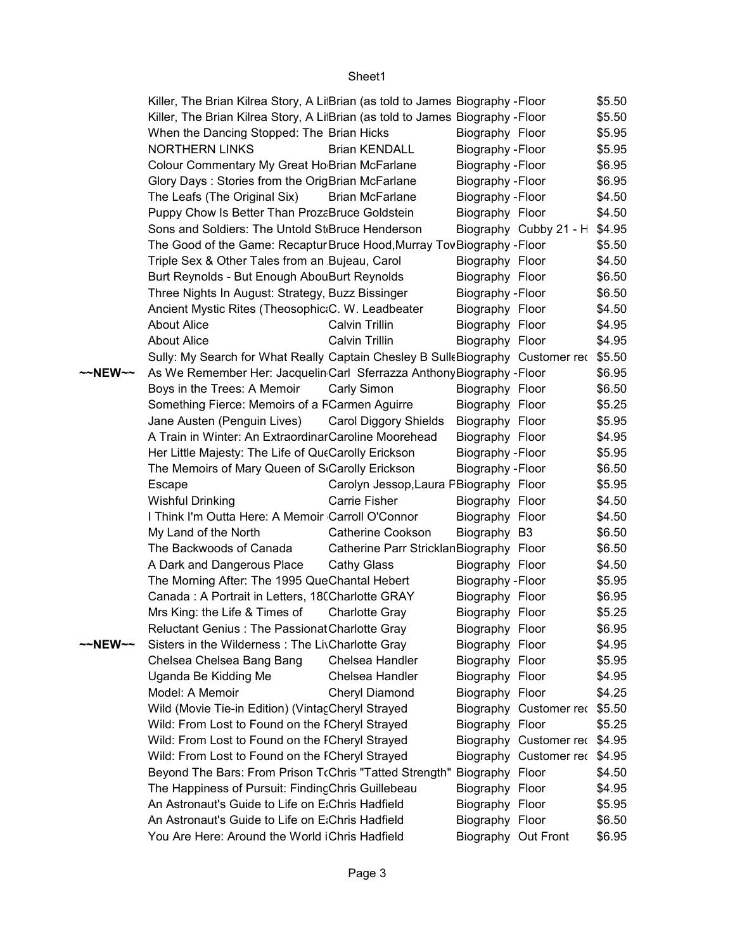|         | Killer, The Brian Kilrea Story, A Li Brian (as told to James Biography - Floor        |                                          |                     |                               | \$5.50 |
|---------|---------------------------------------------------------------------------------------|------------------------------------------|---------------------|-------------------------------|--------|
|         | Killer, The Brian Kilrea Story, A Li Brian (as told to James Biography - Floor        |                                          |                     |                               | \$5.50 |
|         | When the Dancing Stopped: The Brian Hicks                                             |                                          | Biography Floor     |                               | \$5.95 |
|         | <b>NORTHERN LINKS</b>                                                                 | <b>Brian KENDALL</b>                     | Biography - Floor   |                               | \$5.95 |
|         | Colour Commentary My Great Ho Brian McFarlane                                         |                                          | Biography - Floor   |                               | \$6.95 |
|         | Glory Days: Stories from the OrigBrian McFarlane                                      |                                          | Biography - Floor   |                               | \$6.95 |
|         | The Leafs (The Original Six)                                                          | <b>Brian McFarlane</b>                   | Biography - Floor   |                               | \$4.50 |
|         | Puppy Chow Is Better Than ProzaBruce Goldstein                                        |                                          | Biography Floor     |                               | \$4.50 |
|         | Sons and Soldiers: The Untold St <sub>Bruce</sub> Henderson                           |                                          |                     | Biography Cubby 21 - H \$4.95 |        |
|         | The Good of the Game: Recaptur Bruce Hood, Murray Tov Biography - Floor               |                                          |                     |                               | \$5.50 |
|         | Triple Sex & Other Tales from an Bujeau, Carol                                        |                                          | Biography Floor     |                               | \$4.50 |
|         | Burt Reynolds - But Enough AbouBurt Reynolds                                          |                                          | Biography Floor     |                               | \$6.50 |
|         | Three Nights In August: Strategy, Buzz Bissinger                                      |                                          | Biography - Floor   |                               | \$6.50 |
|         | Ancient Mystic Rites (Theosophic: C. W. Leadbeater                                    |                                          | Biography Floor     |                               | \$4.50 |
|         | <b>About Alice</b>                                                                    | Calvin Trillin                           | Biography Floor     |                               | \$4.95 |
|         | <b>About Alice</b>                                                                    | Calvin Trillin                           | Biography Floor     |                               | \$4.95 |
|         | Sully: My Search for What Really Captain Chesley B SulleBiography Customer rec \$5.50 |                                          |                     |                               |        |
| ~~NEW~~ | As We Remember Her: Jacquelin Carl Sferrazza Anthony Biography - Floor                |                                          |                     |                               | \$6.95 |
|         | Boys in the Trees: A Memoir                                                           | Carly Simon                              | Biography Floor     |                               | \$6.50 |
|         | Something Fierce: Memoirs of a FCarmen Aguirre                                        |                                          | Biography Floor     |                               | \$5.25 |
|         | Jane Austen (Penguin Lives)                                                           | <b>Carol Diggory Shields</b>             | Biography Floor     |                               | \$5.95 |
|         | A Train in Winter: An Extraordinar Caroline Moorehead                                 |                                          | Biography Floor     |                               | \$4.95 |
|         | Her Little Majesty: The Life of QueCarolly Erickson                                   |                                          | Biography - Floor   |                               | \$5.95 |
|         | The Memoirs of Mary Queen of S <sub>'Carolly</sub> Erickson                           |                                          | Biography - Floor   |                               | \$6.50 |
|         | Escape                                                                                | Carolyn Jessop, Laura PBiography Floor   |                     |                               | \$5.95 |
|         | <b>Wishful Drinking</b>                                                               | Carrie Fisher                            | Biography Floor     |                               | \$4.50 |
|         | I Think I'm Outta Here: A Memoir Carroll O'Connor                                     |                                          | Biography Floor     |                               | \$4.50 |
|         | My Land of the North                                                                  | <b>Catherine Cookson</b>                 | Biography B3        |                               | \$6.50 |
|         | The Backwoods of Canada                                                               | Catherine Parr Stricklan Biography Floor |                     |                               | \$6.50 |
|         | A Dark and Dangerous Place                                                            | <b>Cathy Glass</b>                       | Biography Floor     |                               | \$4.50 |
|         | The Morning After: The 1995 QueChantal Hebert                                         |                                          | Biography - Floor   |                               | \$5.95 |
|         | Canada: A Portrait in Letters, 18(Charlotte GRAY                                      |                                          | Biography Floor     |                               | \$6.95 |
|         | Mrs King: the Life & Times of                                                         | <b>Charlotte Gray</b>                    | Biography Floor     |                               | \$5.25 |
|         | Reluctant Genius: The Passionat Charlotte Gray                                        |                                          | Biography Floor     |                               | \$6.95 |
| ~~NEW~~ | Sisters in the Wilderness: The LivCharlotte Gray                                      |                                          | Biography Floor     |                               | \$4.95 |
|         | Chelsea Chelsea Bang Bang                                                             | Chelsea Handler                          | Biography Floor     |                               | \$5.95 |
|         | Uganda Be Kidding Me                                                                  | Chelsea Handler                          | Biography Floor     |                               | \$4.95 |
|         | Model: A Memoir                                                                       | Cheryl Diamond                           | Biography Floor     |                               | \$4.25 |
|         | Wild (Movie Tie-in Edition) (Vintac Cheryl Strayed                                    |                                          |                     | Biography Customer rec \$5.50 |        |
|         | Wild: From Lost to Found on the ICheryl Strayed                                       |                                          | Biography Floor     |                               | \$5.25 |
|         | Wild: From Lost to Found on the ICheryl Strayed                                       |                                          |                     | Biography Customer rec \$4.95 |        |
|         | Wild: From Lost to Found on the ICheryl Strayed                                       |                                          |                     | Biography Customer rec \$4.95 |        |
|         | Beyond The Bars: From Prison TrChris "Tatted Strength"                                |                                          | Biography Floor     |                               | \$4.50 |
|         | The Happiness of Pursuit: Finding Chris Guillebeau                                    |                                          | Biography Floor     |                               | \$4.95 |
|         | An Astronaut's Guide to Life on E;Chris Hadfield                                      |                                          | Biography Floor     |                               | \$5.95 |
|         | An Astronaut's Guide to Life on E;Chris Hadfield                                      |                                          | Biography Floor     |                               | \$6.50 |
|         | You Are Here: Around the World iChris Hadfield                                        |                                          | Biography Out Front |                               | \$6.95 |
|         |                                                                                       |                                          |                     |                               |        |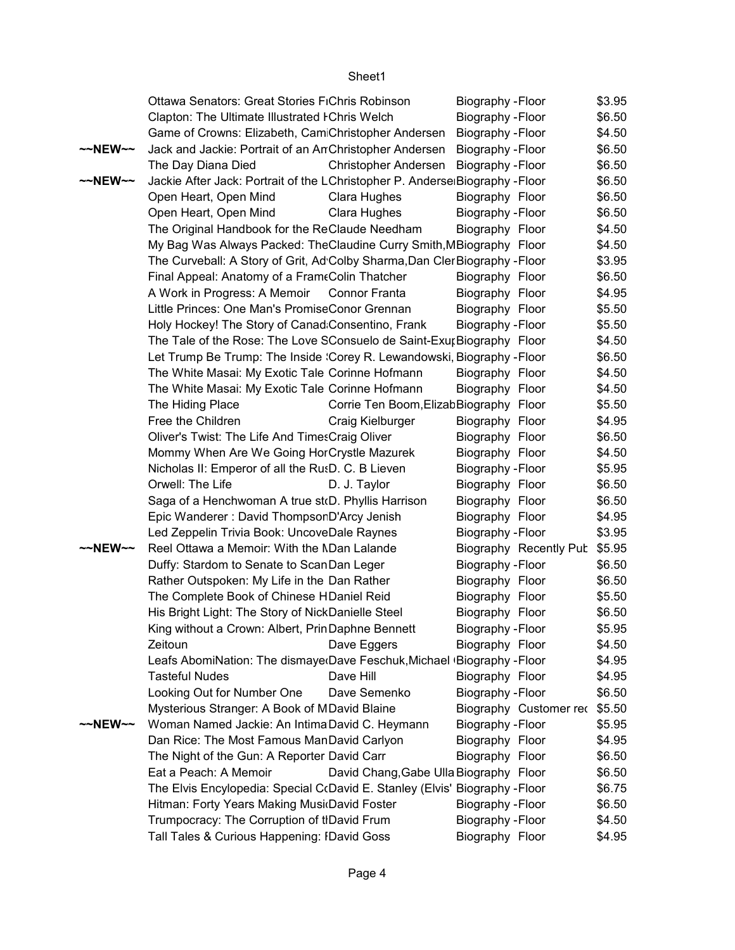|                   | Ottawa Senators: Great Stories FiChris Robinson                              |                                         | Biography - Floor        |                        | \$3.95 |
|-------------------|------------------------------------------------------------------------------|-----------------------------------------|--------------------------|------------------------|--------|
|                   | Clapton: The Ultimate Illustrated I Chris Welch                              |                                         | Biography - Floor        |                        | \$6.50 |
|                   | Game of Crowns: Elizabeth, Cam Christopher Andersen                          |                                         | Biography - Floor        |                        | \$4.50 |
| $\sim$ NEW $\sim$ | Jack and Jackie: Portrait of an AnChristopher Andersen                       |                                         | Biography - Floor        |                        | \$6.50 |
|                   | The Day Diana Died                                                           | <b>Christopher Andersen</b>             | Biography - Floor        |                        | \$6.50 |
| ~~NEW~~           | Jackie After Jack: Portrait of the LChristopher P. Anderse Biography - Floor |                                         |                          |                        | \$6.50 |
|                   | Open Heart, Open Mind                                                        | Clara Hughes                            | Biography Floor          |                        | \$6.50 |
|                   | Open Heart, Open Mind                                                        | Clara Hughes                            | Biography - Floor        |                        | \$6.50 |
|                   | The Original Handbook for the ReClaude Needham                               |                                         | Biography Floor          |                        | \$4.50 |
|                   | My Bag Was Always Packed: TheClaudine Curry Smith, MBiography Floor          |                                         |                          |                        | \$4.50 |
|                   | The Curveball: A Story of Grit, Ad Colby Sharma, Dan Cler Biography - Floor  |                                         |                          |                        | \$3.95 |
|                   | Final Appeal: Anatomy of a FrameColin Thatcher                               |                                         | Biography Floor          |                        | \$6.50 |
|                   | A Work in Progress: A Memoir                                                 | <b>Connor Franta</b>                    | Biography Floor          |                        | \$4.95 |
|                   | Little Princes: One Man's PromiseConor Grennan                               |                                         | Biography Floor          |                        | \$5.50 |
|                   | Holy Hockey! The Story of Canad Consentino, Frank                            |                                         | Biography - Floor        |                        | \$5.50 |
|                   | The Tale of the Rose: The Love SConsuelo de Saint-ExurBiography Floor        |                                         |                          |                        | \$4.50 |
|                   | Let Trump Be Trump: The Inside : Corey R. Lewandowski, Biography - Floor     |                                         |                          |                        | \$6.50 |
|                   | The White Masai: My Exotic Tale Corinne Hofmann                              |                                         | Biography Floor          |                        | \$4.50 |
|                   | The White Masai: My Exotic Tale Corinne Hofmann                              |                                         | Biography Floor          |                        | \$4.50 |
|                   | The Hiding Place                                                             | Corrie Ten Boom, Elizab Biography Floor |                          |                        | \$5.50 |
|                   | Free the Children                                                            | Craig Kielburger                        | Biography Floor          |                        | \$4.95 |
|                   | Oliver's Twist: The Life And TimesCraig Oliver                               |                                         | Biography Floor          |                        | \$6.50 |
|                   | Mommy When Are We Going HorCrystle Mazurek                                   |                                         | Biography Floor          |                        | \$4.50 |
|                   | Nicholas II: Emperor of all the RusD. C. B Lieven                            |                                         | Biography - Floor        |                        | \$5.95 |
|                   | Orwell: The Life                                                             | D. J. Taylor                            | Biography Floor          |                        | \$6.50 |
|                   | Saga of a Henchwoman A true st(D. Phyllis Harrison                           |                                         | Biography Floor          |                        | \$6.50 |
|                   | Epic Wanderer: David ThompsorD'Arcy Jenish                                   |                                         | Biography Floor          |                        | \$4.95 |
|                   | Led Zeppelin Trivia Book: UncoveDale Raynes                                  |                                         | Biography - Floor        |                        | \$3.95 |
| $\sim$ NEW $\sim$ | Reel Ottawa a Memoir: With the NDan Lalande                                  |                                         |                          | Biography Recently Pub | \$5.95 |
|                   | Duffy: Stardom to Senate to ScanDan Leger                                    |                                         | Biography - Floor        |                        | \$6.50 |
|                   | Rather Outspoken: My Life in the Dan Rather                                  |                                         | Biography Floor          |                        | \$6.50 |
|                   | The Complete Book of Chinese HDaniel Reid                                    |                                         | Biography Floor          |                        | \$5.50 |
|                   | His Bright Light: The Story of NickDanielle Steel                            |                                         | Biography Floor          |                        | \$6.50 |
|                   | King without a Crown: Albert, PrinDaphne Bennett                             |                                         | Biography - Floor        |                        | \$5.95 |
|                   | Zeitoun                                                                      | Dave Eggers                             | Biography Floor          |                        | \$4.50 |
|                   | Leafs AbomiNation: The dismaye Dave Feschuk, Michael (Biography - Floor      |                                         |                          |                        | \$4.95 |
|                   | <b>Tasteful Nudes</b>                                                        | Dave Hill                               | Biography Floor          |                        | \$4.95 |
|                   | Looking Out for Number One                                                   | Dave Semenko                            | Biography - Floor        |                        | \$6.50 |
|                   | Mysterious Stranger: A Book of MDavid Blaine                                 |                                         |                          | Biography Customer rec | \$5.50 |
| ~~NEW~~           | Woman Named Jackie: An Intima David C. Heymann                               |                                         | Biography - Floor        |                        | \$5.95 |
|                   | Dan Rice: The Most Famous ManDavid Carlyon                                   |                                         | Biography Floor          |                        | \$4.95 |
|                   | The Night of the Gun: A Reporter David Carr                                  |                                         | Biography Floor          |                        | \$6.50 |
|                   | Eat a Peach: A Memoir                                                        | David Chang, Gabe Ulla Biography Floor  |                          |                        | \$6.50 |
|                   | The Elvis Encylopedia: Special C(David E. Stanley (Elvis' Biography - Floor  |                                         |                          |                        | \$6.75 |
|                   | Hitman: Forty Years Making Musi David Foster                                 |                                         | <b>Biography - Floor</b> |                        | \$6.50 |
|                   | Trumpocracy: The Corruption of tIDavid Frum                                  |                                         | Biography - Floor        |                        | \$4.50 |
|                   | Tall Tales & Curious Happening: IDavid Goss                                  |                                         | Biography Floor          |                        | \$4.95 |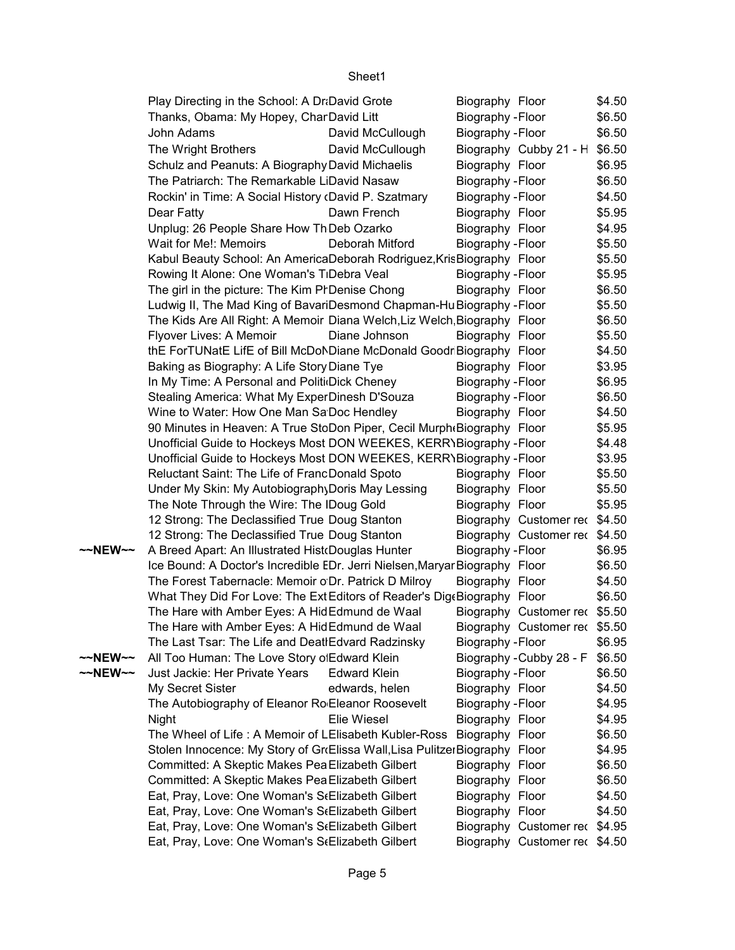|         | Play Directing in the School: A Dr David Grote                              |                     | Biography Floor                      |                               | \$4.50           |
|---------|-----------------------------------------------------------------------------|---------------------|--------------------------------------|-------------------------------|------------------|
|         | Thanks, Obama: My Hopey, CharDavid Litt                                     |                     | Biography - Floor                    |                               | \$6.50           |
|         | John Adams                                                                  | David McCullough    | Biography - Floor                    |                               | \$6.50           |
|         | The Wright Brothers                                                         | David McCullough    |                                      | Biography Cubby 21 - H        | \$6.50           |
|         | Schulz and Peanuts: A Biography David Michaelis                             |                     | Biography Floor                      |                               | \$6.95           |
|         | The Patriarch: The Remarkable LiDavid Nasaw                                 |                     | Biography - Floor                    |                               | \$6.50           |
|         | Rockin' in Time: A Social History (David P. Szatmary                        |                     | Biography - Floor                    |                               | \$4.50           |
|         | Dear Fatty                                                                  | Dawn French         | Biography Floor                      |                               | \$5.95           |
|         | Unplug: 26 People Share How Th Deb Ozarko                                   |                     | Biography Floor                      |                               | \$4.95           |
|         | Wait for Me!: Memoirs                                                       | Deborah Mitford     | Biography - Floor                    |                               | \$5.50           |
|         | Kabul Beauty School: An AmericaDeborah Rodriguez, KrisBiography Floor       |                     |                                      |                               | \$5.50           |
|         | Rowing It Alone: One Woman's TiDebra Veal                                   |                     | Biography - Floor                    |                               | \$5.95           |
|         | The girl in the picture: The Kim PrDenise Chong                             |                     | Biography Floor                      |                               | \$6.50           |
|         | Ludwig II, The Mad King of BavariDesmond Chapman-Hu Biography - Floor       |                     |                                      |                               | \$5.50           |
|         | The Kids Are All Right: A Memoir Diana Welch, Liz Welch, Biography Floor    |                     |                                      |                               | \$6.50           |
|         | Flyover Lives: A Memoir                                                     | Diane Johnson       | Biography Floor                      |                               | \$5.50           |
|         | thE ForTUNatE LifE of Bill McDoNDiane McDonald GoodriBiography Floor        |                     |                                      |                               | \$4.50           |
|         | Baking as Biography: A Life Story Diane Tye                                 |                     | Biography Floor                      |                               | \$3.95           |
|         | In My Time: A Personal and PoliticDick Cheney                               |                     | Biography - Floor                    |                               | \$6.95           |
|         | Stealing America: What My ExperDinesh D'Souza                               |                     | Biography - Floor                    |                               | \$6.50           |
|         | Wine to Water: How One Man Sa Doc Hendley                                   |                     | Biography Floor                      |                               | \$4.50           |
|         | 90 Minutes in Heaven: A True StoDon Piper, Cecil Murph(Biography Floor      |                     |                                      |                               | \$5.95           |
|         | Unofficial Guide to Hockeys Most DON WEEKES, KERR\Biography - Floor         |                     |                                      |                               | \$4.48           |
|         | Unofficial Guide to Hockeys Most DON WEEKES, KERR\Biography - Floor         |                     |                                      |                               | \$3.95           |
|         | Reluctant Saint: The Life of FrancDonald Spoto                              |                     | Biography Floor                      |                               | \$5.50           |
|         | Under My Skin: My AutobiographyDoris May Lessing                            |                     | Biography Floor                      |                               | \$5.50           |
|         | The Note Through the Wire: The IDoug Gold                                   |                     | Biography Floor                      |                               | \$5.95           |
|         | 12 Strong: The Declassified True Doug Stanton                               |                     |                                      | Biography Customer rec \$4.50 |                  |
|         | 12 Strong: The Declassified True Doug Stanton                               |                     |                                      | Biography Customer rec \$4.50 |                  |
| ~~NEW~~ | A Breed Apart: An Illustrated Hist Douglas Hunter                           |                     | Biography - Floor                    |                               | \$6.95           |
|         | Ice Bound: A Doctor's Incredible EDr. Jerri Nielsen, Maryar Biography Floor |                     |                                      |                               | \$6.50           |
|         | The Forest Tabernacle: Memoir o Dr. Patrick D Milroy                        |                     | Biography Floor                      |                               | \$4.50           |
|         | What They Did For Love: The Ext Editors of Reader's DigeBiography Floor     |                     |                                      |                               | \$6.50           |
|         | The Hare with Amber Eyes: A HidEdmund de Waal                               |                     |                                      | Biography Customer rec \$5.50 |                  |
|         | The Hare with Amber Eyes: A HidEdmund de Waal                               |                     |                                      | Biography Customer rec \$5.50 |                  |
|         | The Last Tsar: The Life and DeatlEdvard Radzinsky                           |                     | Biography - Floor                    |                               | \$6.95           |
| ~~NEW~~ | All Too Human: The Love Story o'Edward Klein                                |                     |                                      | Biography - Cubby 28 - F      | \$6.50           |
| ~~NEW~~ | Just Jackie: Her Private Years                                              | <b>Edward Klein</b> | Biography - Floor                    |                               | \$6.50<br>\$4.50 |
|         | My Secret Sister<br>The Autobiography of Eleanor Ro Eleanor Roosevelt       | edwards, helen      | Biography Floor<br>Biography - Floor |                               | \$4.95           |
|         |                                                                             | Elie Wiesel         | Biography Floor                      |                               | \$4.95           |
|         | <b>Night</b><br>The Wheel of Life: A Memoir of LElisabeth Kubler-Ross       |                     | Biography Floor                      |                               | \$6.50           |
|         | Stolen Innocence: My Story of GroElissa Wall, Lisa Pulitzer Biography Floor |                     |                                      |                               | \$4.95           |
|         | Committed: A Skeptic Makes Pea Elizabeth Gilbert                            |                     | Biography Floor                      |                               | \$6.50           |
|         | Committed: A Skeptic Makes Pea Elizabeth Gilbert                            |                     | Biography Floor                      |                               | \$6.50           |
|         | Eat, Pray, Love: One Woman's StElizabeth Gilbert                            |                     | Biography Floor                      |                               | \$4.50           |
|         | Eat, Pray, Love: One Woman's StElizabeth Gilbert                            |                     | Biography Floor                      |                               | \$4.50           |
|         | Eat, Pray, Love: One Woman's StElizabeth Gilbert                            |                     |                                      | Biography Customer rec \$4.95 |                  |
|         | Eat, Pray, Love: One Woman's StElizabeth Gilbert                            |                     |                                      | Biography Customer rec \$4.50 |                  |
|         |                                                                             |                     |                                      |                               |                  |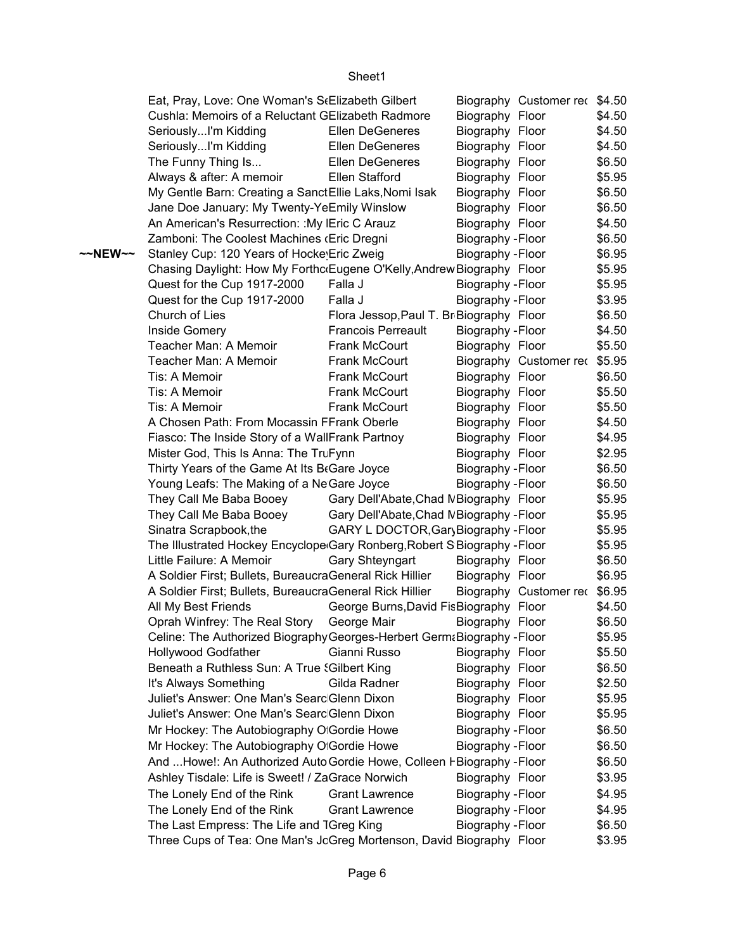#### Eat, Pray, Love: One Woman's Stelizabeth Gilbert Biography Customer rec \$4.50 Cushla: Memoirs of a Reluctant GElizabeth Radmore Biography Floor \$4.50 Seriously...I'm Kidding **Ellen DeGeneres** Biography Floor \$4.50 Seriously...I'm Kidding **Ellen DeGeneres** Biography Floor \$4.50 The Funny Thing Is... **Ellen DeGeneres** Biography Floor \$6.50 Always & after: A memoir Ellen Stafford Biography Floor \$5.95 My Gentle Barn: Creating a Sanct Ellie Laks, Nomi Isak Biography Floor \$6.50 Jane Doe January: My Twenty-YeEmily Winslow Biography Floor \$6.50 An American's Resurrection: :My Eric C Arauz Biography Floor \$4.50 Zamboni: The Coolest Machines (Eric Dregni Biography - Floor \$6.50 **~~NEW~~** Stanley Cup: 120 Years of Hocke Eric Zweig Biography - Floor \$6.95 Chasing Daylight: How My ForthcoEugene O'Kelly,Andrew Biography Floor \$5.95 Quest for the Cup 1917-2000 Falla J Biography - Floor \$5.95 Quest for the Cup 1917-2000 Falla J Biography - Floor \$3.95 Church of Lies Flora Jessop, Paul T. Br Biography Floor \$6.50 Inside Gomery **Francois Perreault** Biography - Floor \$4.50 Teacher Man: A Memoir Frank McCourt Biography Floor \$5.50 Teacher Man: A Memoir Frank McCourt Biography Customer rec \$5.95 Tis: A Memoir **Frank McCourt** Biography Floor \$6.50 Tis: A Memoir Frank McCourt Biography Floor \$5.50 Tis: A Memoir **Frank McCourt** Biography Floor \$5.50 A Chosen Path: From Mocassin FFrank Oberle Biography Floor \$4.50 Fiasco: The Inside Story of a Wall Frank Partnoy Biography Floor \$4.95 Mister God, This Is Anna: The TruFynn **Channel Biography Floor** \$2.95 Thirty Years of the Game At Its BeGare Joyce  $\qquad \qquad$  Biography - Floor  $\qquad \quad$  \$6.50 Young Leafs: The Making of a NeGare Joyce Biography - Floor \$6.50 They Call Me Baba Booey Gary Dell'Abate,Chad NBiography Floor \$5.95 They Call Me Baba Booey Gary Dell'Abate, Chad NBiography - Floor \$5.95 Sinatra Scrapbook,the GARY L DOCTOR, Gary Biography - Floor \$5.95 The Illustrated Hockey Encyclope Gary Ronberg,Robert S Biography - Floor \$5.95 Little Failure: A Memoir Gary Shteyngart Biography Floor \$6.50 A Soldier First; Bullets, BureaucraGeneral Rick Hillier Biography Floor \$6.95 A Soldier First; Bullets, BureaucraGeneral Rick Hillier Biography Customer rec \$6.95 All My Best Friends George Burns, David Fis Biography Floor \$4.50 Oprah Winfrey: The Real Story George Mair Biography Floor \$6.50 Celine: The Authorized BiographyGeorges-Herbert GermaBiography - Floor \$5.95 Hollywood Godfather Gianni Russo Biography Floor \$5.50 Beneath a Ruthless Sun: A True Solibert King Biography Floor \$6.50 It's Always Something Gilda Radner Biography Floor \$2.50 Juliet's Answer: One Man's Searc Glenn Dixon Biography Floor \$5.95 Juliet's Answer: One Man's Searc Glenn Dixon Biography Floor \$5.95 \$6.50 \$6.50 \$6.50 \$3.95 \$4.95 \$4.95 \$6.50 \$3.95 Mr Hockey: The Autobiography Of Gordie Howe Gordie Biography - Floor Mr Hockey: The Autobiography Of Gordie Howe Gordie Biography - Floor And ...Howe!: An Authorized Auto Gordie Howe, Colleen HBiography - Floor Ashley Tisdale: Life is Sweet! / ZaGrace Norwich Biography Floor The Lonely End of the Rink Grant Lawrence Biography - Floor The Lonely End of the Rink Grant Lawrence Biography - Floor The Last Empress: The Life and TGreg King Feodorovic Biography - Floor Three Cups of Tea: One Man's JcGreg Mortenson, David Biography Floor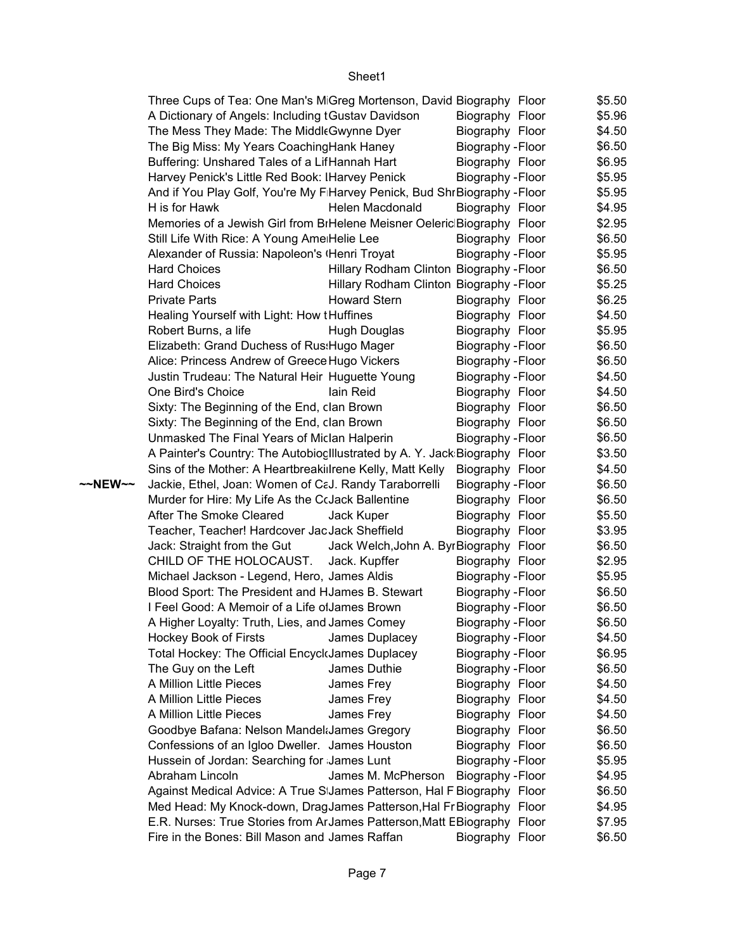|         | Three Cups of Tea: One Man's MGreg Mortenson, David Biography Floor          |                                          |                          | \$5.50 |
|---------|------------------------------------------------------------------------------|------------------------------------------|--------------------------|--------|
|         | A Dictionary of Angels: Including tGustav Davidson                           |                                          | Biography Floor          | \$5.96 |
|         | The Mess They Made: The Middl Gwynne Dyer                                    |                                          | Biography Floor          | \$4.50 |
|         | The Big Miss: My Years Coaching Hank Haney                                   |                                          | Biography - Floor        | \$6.50 |
|         | Buffering: Unshared Tales of a LifHannah Hart                                |                                          | Biography Floor          | \$6.95 |
|         | Harvey Penick's Little Red Book: IHarvey Penick                              |                                          | Biography - Floor        | \$5.95 |
|         | And if You Play Golf, You're My F Harvey Penick, Bud Shr Biography - Floor   |                                          |                          | \$5.95 |
|         | H is for Hawk                                                                | Helen Macdonald                          | Biography Floor          | \$4.95 |
|         | Memories of a Jewish Girl from BiHelene Meisner Oeleric Biography Floor      |                                          |                          | \$2.95 |
|         | Still Life With Rice: A Young Ame Helie Lee                                  |                                          | Biography Floor          | \$6.50 |
|         | Alexander of Russia: Napoleon's (Henri Troyat                                |                                          | Biography - Floor        | \$5.95 |
|         | <b>Hard Choices</b>                                                          | Hillary Rodham Clinton Biography - Floor |                          | \$6.50 |
|         | <b>Hard Choices</b>                                                          | Hillary Rodham Clinton Biography - Floor |                          | \$5.25 |
|         | <b>Private Parts</b>                                                         | <b>Howard Stern</b>                      | Biography Floor          | \$6.25 |
|         | Healing Yourself with Light: How tHuffines                                   |                                          | Biography Floor          | \$4.50 |
|         | Robert Burns, a life                                                         | <b>Hugh Douglas</b>                      | Biography Floor          | \$5.95 |
|         | Elizabeth: Grand Duchess of Rus: Hugo Mager                                  |                                          | Biography - Floor        | \$6.50 |
|         | Alice: Princess Andrew of Greece Hugo Vickers                                |                                          | Biography - Floor        | \$6.50 |
|         | Justin Trudeau: The Natural Heir Huguette Young                              |                                          | Biography - Floor        | \$4.50 |
|         | One Bird's Choice                                                            | lain Reid                                | Biography Floor          | \$4.50 |
|         | Sixty: The Beginning of the End, clan Brown                                  |                                          | Biography Floor          | \$6.50 |
|         | Sixty: The Beginning of the End, clan Brown                                  |                                          | Biography Floor          | \$6.50 |
|         | Unmasked The Final Years of Miclan Halperin                                  |                                          | Biography - Floor        | \$6.50 |
|         | A Painter's Country: The Autobioc Illustrated by A. Y. Jack: Biography Floor |                                          |                          | \$3.50 |
|         | Sins of the Mother: A Heartbreakillrene Kelly, Matt Kelly                    |                                          | Biography Floor          | \$4.50 |
| ~~NEW~~ | Jackie, Ethel, Joan: Women of CaJ. Randy Taraborrelli                        |                                          | Biography - Floor        | \$6.50 |
|         | Murder for Hire: My Life As the CcJack Ballentine                            |                                          | Biography Floor          | \$6.50 |
|         | After The Smoke Cleared                                                      | Jack Kuper                               | Biography Floor          | \$5.50 |
|         | Teacher, Teacher! Hardcover JacJack Sheffield                                |                                          | Biography Floor          | \$3.95 |
|         | Jack: Straight from the Gut                                                  | Jack Welch, John A. ByrBiography Floor   |                          | \$6.50 |
|         | CHILD OF THE HOLOCAUST.                                                      | Jack. Kupffer                            | Biography Floor          | \$2.95 |
|         | Michael Jackson - Legend, Hero, James Aldis                                  |                                          | Biography - Floor        | \$5.95 |
|         | Blood Sport: The President and HJames B. Stewart                             |                                          | Biography - Floor        | \$6.50 |
|         | I Feel Good: A Memoir of a Life olJames Brown                                |                                          | Biography - Floor        | \$6.50 |
|         | A Higher Loyalty: Truth, Lies, and James Comey                               |                                          | Biography - Floor        | \$6.50 |
|         | Hockey Book of Firsts                                                        | James Duplacey                           | Biography - Floor        | \$4.50 |
|         | Total Hockey: The Official EncyckJames Duplacey                              |                                          | Biography - Floor        | \$6.95 |
|         | The Guy on the Left                                                          | James Duthie                             | Biography - Floor        | \$6.50 |
|         | A Million Little Pieces                                                      | James Frey                               | Biography Floor          | \$4.50 |
|         | A Million Little Pieces                                                      | James Frey                               | Biography Floor          | \$4.50 |
|         | A Million Little Pieces                                                      | James Frey                               | Biography Floor          | \$4.50 |
|         | Goodbye Bafana: Nelson Mandel James Gregory                                  |                                          | Biography Floor          | \$6.50 |
|         | Confessions of an Igloo Dweller. James Houston                               |                                          | Biography Floor          | \$6.50 |
|         | Hussein of Jordan: Searching for James Lunt                                  |                                          | Biography - Floor        | \$5.95 |
|         | Abraham Lincoln                                                              | James M. McPherson                       | <b>Biography - Floor</b> | \$4.95 |
|         | Against Medical Advice: A True S James Patterson, Hal F Biography Floor      |                                          |                          | \$6.50 |
|         | Med Head: My Knock-down, DragJames Patterson, Hal Fr Biography Floor         |                                          |                          | \$4.95 |
|         | E.R. Nurses: True Stories from ArJames Patterson, Matt EBiography Floor      |                                          |                          | \$7.95 |
|         | Fire in the Bones: Bill Mason and James Raffan                               |                                          | Biography Floor          | \$6.50 |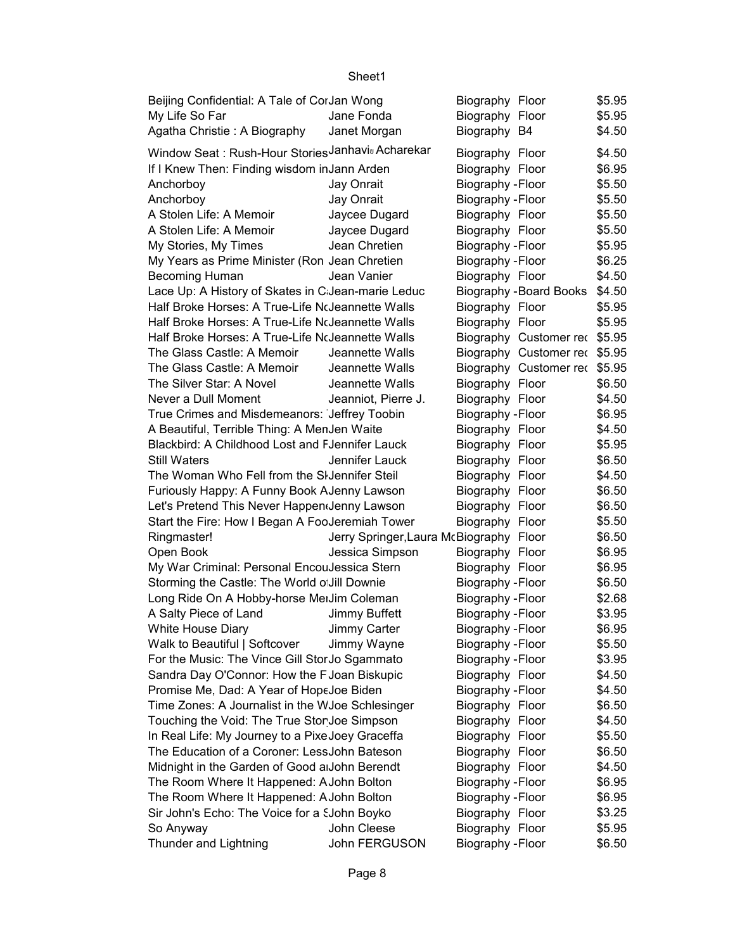| Beijing Confidential: A Tale of CorJan Wong                  |                                         | Biography Floor          |                                | \$5.95 |
|--------------------------------------------------------------|-----------------------------------------|--------------------------|--------------------------------|--------|
| My Life So Far                                               | Jane Fonda                              | Biography Floor          |                                | \$5.95 |
| Agatha Christie: A Biography                                 | Janet Morgan                            | Biography B4             |                                | \$4.50 |
| Window Seat: Rush-Hour StoriesJanhavi <sub>v</sub> Acharekar |                                         | Biography Floor          |                                | \$4.50 |
| If I Knew Then: Finding wisdom in Jann Arden                 |                                         | Biography Floor          |                                | \$6.95 |
| Anchorboy                                                    | Jay Onrait                              | Biography - Floor        |                                | \$5.50 |
| Anchorboy                                                    | Jay Onrait                              | Biography - Floor        |                                | \$5.50 |
| A Stolen Life: A Memoir                                      | Jaycee Dugard                           | Biography Floor          |                                | \$5.50 |
| A Stolen Life: A Memoir                                      | Jaycee Dugard                           | Biography Floor          |                                | \$5.50 |
| My Stories, My Times                                         | Jean Chretien                           | Biography - Floor        |                                | \$5.95 |
| My Years as Prime Minister (Ron Jean Chretien                |                                         | Biography - Floor        |                                | \$6.25 |
| Becoming Human                                               | Jean Vanier                             | Biography Floor          |                                | \$4.50 |
| Lace Up: A History of Skates in C Jean-marie Leduc           |                                         |                          | <b>Biography - Board Books</b> | \$4.50 |
| Half Broke Horses: A True-Life NoJeannette Walls             |                                         | Biography Floor          |                                | \$5.95 |
| Half Broke Horses: A True-Life NoJeannette Walls             |                                         | Biography Floor          |                                | \$5.95 |
| Half Broke Horses: A True-Life NoJeannette Walls             |                                         |                          | Biography Customer rec         | \$5.95 |
| The Glass Castle: A Memoir                                   | Jeannette Walls                         |                          | Biography Customer rec         | \$5.95 |
| The Glass Castle: A Memoir                                   | Jeannette Walls                         |                          | Biography Customer rec \$5.95  |        |
| The Silver Star: A Novel                                     | Jeannette Walls                         |                          |                                | \$6.50 |
| Never a Dull Moment                                          |                                         | Biography Floor          |                                |        |
|                                                              | Jeanniot, Pierre J.                     | Biography Floor          |                                | \$4.50 |
| True Crimes and Misdemeanors: Jeffrey Toobin                 |                                         | Biography - Floor        |                                | \$6.95 |
| A Beautiful, Terrible Thing: A MenJen Waite                  |                                         | Biography Floor          |                                | \$4.50 |
| Blackbird: A Childhood Lost and FJennifer Lauck              |                                         | Biography Floor          |                                | \$5.95 |
| <b>Still Waters</b>                                          | Jennifer Lauck                          | Biography Floor          |                                | \$6.50 |
| The Woman Who Fell from the SIJennifer Steil                 |                                         | Biography Floor          |                                | \$4.50 |
| Furiously Happy: A Funny Book AJenny Lawson                  |                                         | Biography Floor          |                                | \$6.50 |
| Let's Pretend This Never Happendenny Lawson                  |                                         | Biography Floor          |                                | \$6.50 |
| Start the Fire: How I Began A FooJeremiah Tower              |                                         | Biography Floor          |                                | \$5.50 |
| Ringmaster!                                                  | Jerry Springer, Laura McBiography Floor |                          |                                | \$6.50 |
| Open Book                                                    | Jessica Simpson                         | Biography Floor          |                                | \$6.95 |
| My War Criminal: Personal EncouJessica Stern                 |                                         | Biography Floor          |                                | \$6.95 |
| Storming the Castle: The World o Jill Downie                 |                                         | Biography - Floor        |                                | \$6.50 |
| Long Ride On A Hobby-horse MeiJim Coleman                    |                                         | Biography - Floor        |                                | \$2.68 |
| A Salty Piece of Land                                        | <b>Jimmy Buffett</b>                    | Biography - Floor        |                                | \$3.95 |
| White House Diary                                            | Jimmy Carter                            | Biography - Floor        |                                | \$6.95 |
| Walk to Beautiful   Softcover                                | Jimmy Wayne                             | <b>Biography - Floor</b> |                                | \$5.50 |
| For the Music: The Vince Gill Stor Jo Sgammato               |                                         | Biography - Floor        |                                | \$3.95 |
| Sandra Day O'Connor: How the F Joan Biskupic                 |                                         | Biography Floor          |                                | \$4.50 |
| Promise Me, Dad: A Year of HopeJoe Biden                     |                                         | Biography - Floor        |                                | \$4.50 |
| Time Zones: A Journalist in the WJoe Schlesinger             |                                         | Biography Floor          |                                | \$6.50 |
| Touching the Void: The True Stor Joe Simpson                 |                                         | Biography Floor          |                                | \$4.50 |
| In Real Life: My Journey to a Pixe Joey Graceffa             |                                         | Biography Floor          |                                | \$5.50 |
| The Education of a Coroner: LessJohn Bateson                 |                                         | Biography Floor          |                                | \$6.50 |
| Midnight in the Garden of Good a John Berendt                |                                         | Biography Floor          |                                | \$4.50 |
| The Room Where It Happened: AJohn Bolton                     |                                         | Biography - Floor        |                                | \$6.95 |
| The Room Where It Happened: AJohn Bolton                     |                                         | Biography - Floor        |                                | \$6.95 |
| Sir John's Echo: The Voice for a SJohn Boyko                 |                                         | Biography Floor          |                                | \$3.25 |
| So Anyway                                                    | John Cleese                             | Biography Floor          |                                | \$5.95 |
| Thunder and Lightning                                        | John FERGUSON                           | Biography - Floor        |                                | \$6.50 |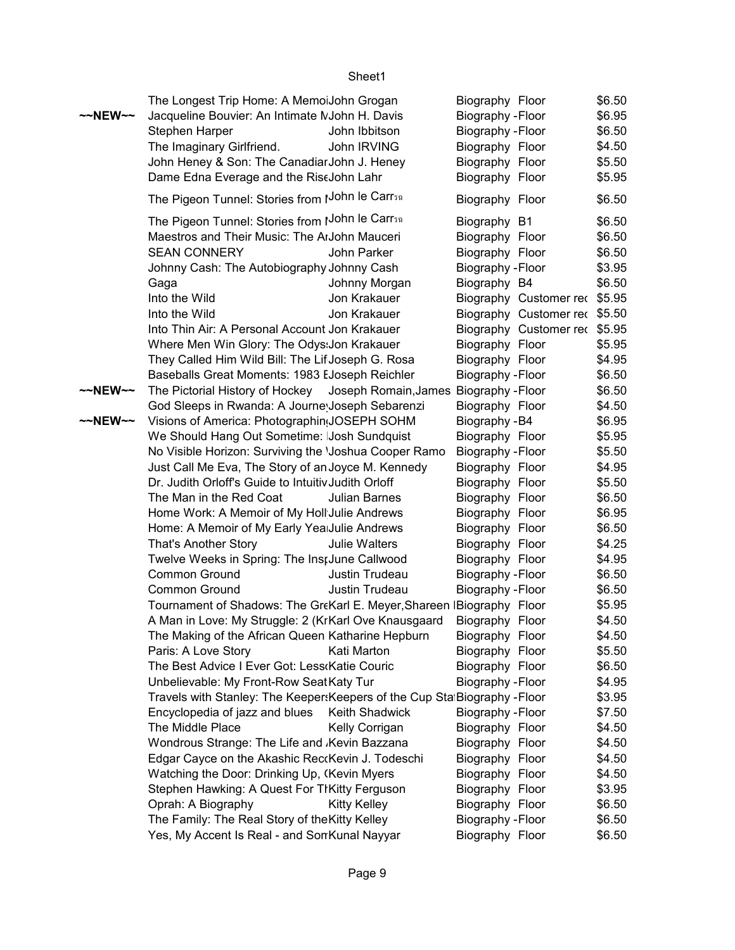| Jacqueline Bouvier: An Intimate MJohn H. Davis<br>Biography - Floor<br>Stephen Harper<br>John Ibbitson<br>Biography - Floor<br>\$6.50<br>The Imaginary Girlfriend.<br>John IRVING<br>Biography Floor<br>\$4.50<br>John Heney & Son: The Canadiar John J. Heney<br>Biography Floor<br>\$5.50<br>Dame Edna Everage and the RiseJohn Lahr<br>Biography Floor<br>\$5.95<br>The Pigeon Tunnel: Stories from IJohn le Carr51<br>\$6.50<br>Biography Floor<br>The Pigeon Tunnel: Stories from IJohn le Carrsa<br>Biography B1<br>\$6.50<br>Maestros and Their Music: The ArJohn Mauceri<br>Biography Floor<br>\$6.50<br><b>SEAN CONNERY</b><br>John Parker<br>Biography Floor<br>\$6.50<br>Johnny Cash: The Autobiography Johnny Cash<br>Biography - Floor<br>\$3.95<br>Biography B4<br>\$6.50<br>Gaga<br>Johnny Morgan<br>Into the Wild<br>Biography Customer rec \$5.95<br>Jon Krakauer<br>Into the Wild<br>Jon Krakauer<br>Biography Customer rec \$5.50<br>Into Thin Air: A Personal Account Jon Krakauer<br>Biography Customer rec \$5.95<br>Where Men Win Glory: The Odys: Jon Krakauer<br>Biography Floor<br>\$5.95<br>They Called Him Wild Bill: The Lif Joseph G. Rosa<br>Biography Floor<br>\$4.95<br>Baseballs Great Moments: 1983 EJoseph Reichler<br>Biography - Floor<br>\$6.50<br>The Pictorial History of Hockey Joseph Romain, James Biography - Floor<br>~~NEW~~<br>\$6.50<br>God Sleeps in Rwanda: A Journe Joseph Sebarenzi<br>Biography Floor<br>\$4.50<br>~~NEW~~<br>Visions of America: Photographin(JOSEPH SOHM<br>Biography - B4<br>\$6.95<br>We Should Hang Out Sometime: Josh Sundquist<br>Biography Floor<br>\$5.95<br>No Visible Horizon: Surviving the 'Joshua Cooper Ramo<br>Biography - Floor<br>\$5.50<br>Just Call Me Eva, The Story of an Joyce M. Kennedy<br>Biography Floor<br>\$4.95<br>Dr. Judith Orloff's Guide to Intuitiv Judith Orloff<br>Biography Floor<br>\$5.50<br>The Man in the Red Coat<br>Biography Floor<br>\$6.50<br>Julian Barnes<br>Home Work: A Memoir of My Holl Julie Andrews<br>Biography Floor<br>\$6.95<br>Home: A Memoir of My Early Yea Julie Andrews<br>Biography Floor<br>\$6.50<br>\$4.25<br>That's Another Story<br>Biography Floor<br>Julie Walters<br>Twelve Weeks in Spring: The Inst June Callwood<br>Biography Floor<br>\$4.95<br>Common Ground<br>Biography - Floor<br>\$6.50<br>Justin Trudeau<br>Common Ground<br>Justin Trudeau<br>Biography - Floor<br>\$6.50<br>Tournament of Shadows: The GreKarl E. Meyer, Shareen IBiography Floor<br>\$5.95<br>A Man in Love: My Struggle: 2 (KrKarl Ove Knausgaard<br>Biography Floor<br>\$4.50<br>The Making of the African Queen Katharine Hepburn<br>\$4.50<br>Biography Floor<br>\$5.50<br>Paris: A Love Story<br>Kati Marton<br>Biography Floor<br>The Best Advice I Ever Got: Less Katie Couric<br>\$6.50<br>Biography Floor<br>Unbelievable: My Front-Row SeatKaty Tur<br>Biography - Floor<br>\$4.95<br>Travels with Stanley: The Keeper: Keepers of the Cup Sta Biography - Floor<br>\$3.95<br>Encyclopedia of jazz and blues<br>Keith Shadwick<br>Biography - Floor<br>\$7.50<br>The Middle Place<br>Kelly Corrigan<br>Biography Floor<br>\$4.50<br>Wondrous Strange: The Life and Kevin Bazzana<br>Biography Floor<br>\$4.50<br>Edgar Cayce on the Akashic ReckKevin J. Todeschi<br>Biography Floor<br>\$4.50<br>Watching the Door: Drinking Up, (Kevin Myers<br>Biography Floor<br>\$4.50<br>Stephen Hawking: A Quest For TIKitty Ferguson<br>Biography Floor<br>\$3.95<br>Oprah: A Biography<br><b>Kitty Kelley</b><br>Biography Floor<br>\$6.50 | ~~NEW~~ |                                                | The Longest Trip Home: A MemoiJohn Grogan | Biography Floor | \$6.50 |
|---------------------------------------------------------------------------------------------------------------------------------------------------------------------------------------------------------------------------------------------------------------------------------------------------------------------------------------------------------------------------------------------------------------------------------------------------------------------------------------------------------------------------------------------------------------------------------------------------------------------------------------------------------------------------------------------------------------------------------------------------------------------------------------------------------------------------------------------------------------------------------------------------------------------------------------------------------------------------------------------------------------------------------------------------------------------------------------------------------------------------------------------------------------------------------------------------------------------------------------------------------------------------------------------------------------------------------------------------------------------------------------------------------------------------------------------------------------------------------------------------------------------------------------------------------------------------------------------------------------------------------------------------------------------------------------------------------------------------------------------------------------------------------------------------------------------------------------------------------------------------------------------------------------------------------------------------------------------------------------------------------------------------------------------------------------------------------------------------------------------------------------------------------------------------------------------------------------------------------------------------------------------------------------------------------------------------------------------------------------------------------------------------------------------------------------------------------------------------------------------------------------------------------------------------------------------------------------------------------------------------------------------------------------------------------------------------------------------------------------------------------------------------------------------------------------------------------------------------------------------------------------------------------------------------------------------------------------------------------------------------------------------------------------------------------------------------------------------------------------------------------------------------------------------------------------------------------------------------------------------------------------------------------------------------------------------------------------------------------------------------------------------------------------------------------------------------------------------------------------------------------------------------------------------------------------------------|---------|------------------------------------------------|-------------------------------------------|-----------------|--------|
|                                                                                                                                                                                                                                                                                                                                                                                                                                                                                                                                                                                                                                                                                                                                                                                                                                                                                                                                                                                                                                                                                                                                                                                                                                                                                                                                                                                                                                                                                                                                                                                                                                                                                                                                                                                                                                                                                                                                                                                                                                                                                                                                                                                                                                                                                                                                                                                                                                                                                                                                                                                                                                                                                                                                                                                                                                                                                                                                                                                                                                                                                                                                                                                                                                                                                                                                                                                                                                                                                                                                                                           |         |                                                |                                           |                 | \$6.95 |
|                                                                                                                                                                                                                                                                                                                                                                                                                                                                                                                                                                                                                                                                                                                                                                                                                                                                                                                                                                                                                                                                                                                                                                                                                                                                                                                                                                                                                                                                                                                                                                                                                                                                                                                                                                                                                                                                                                                                                                                                                                                                                                                                                                                                                                                                                                                                                                                                                                                                                                                                                                                                                                                                                                                                                                                                                                                                                                                                                                                                                                                                                                                                                                                                                                                                                                                                                                                                                                                                                                                                                                           |         |                                                |                                           |                 |        |
|                                                                                                                                                                                                                                                                                                                                                                                                                                                                                                                                                                                                                                                                                                                                                                                                                                                                                                                                                                                                                                                                                                                                                                                                                                                                                                                                                                                                                                                                                                                                                                                                                                                                                                                                                                                                                                                                                                                                                                                                                                                                                                                                                                                                                                                                                                                                                                                                                                                                                                                                                                                                                                                                                                                                                                                                                                                                                                                                                                                                                                                                                                                                                                                                                                                                                                                                                                                                                                                                                                                                                                           |         |                                                |                                           |                 |        |
|                                                                                                                                                                                                                                                                                                                                                                                                                                                                                                                                                                                                                                                                                                                                                                                                                                                                                                                                                                                                                                                                                                                                                                                                                                                                                                                                                                                                                                                                                                                                                                                                                                                                                                                                                                                                                                                                                                                                                                                                                                                                                                                                                                                                                                                                                                                                                                                                                                                                                                                                                                                                                                                                                                                                                                                                                                                                                                                                                                                                                                                                                                                                                                                                                                                                                                                                                                                                                                                                                                                                                                           |         |                                                |                                           |                 |        |
|                                                                                                                                                                                                                                                                                                                                                                                                                                                                                                                                                                                                                                                                                                                                                                                                                                                                                                                                                                                                                                                                                                                                                                                                                                                                                                                                                                                                                                                                                                                                                                                                                                                                                                                                                                                                                                                                                                                                                                                                                                                                                                                                                                                                                                                                                                                                                                                                                                                                                                                                                                                                                                                                                                                                                                                                                                                                                                                                                                                                                                                                                                                                                                                                                                                                                                                                                                                                                                                                                                                                                                           |         |                                                |                                           |                 |        |
|                                                                                                                                                                                                                                                                                                                                                                                                                                                                                                                                                                                                                                                                                                                                                                                                                                                                                                                                                                                                                                                                                                                                                                                                                                                                                                                                                                                                                                                                                                                                                                                                                                                                                                                                                                                                                                                                                                                                                                                                                                                                                                                                                                                                                                                                                                                                                                                                                                                                                                                                                                                                                                                                                                                                                                                                                                                                                                                                                                                                                                                                                                                                                                                                                                                                                                                                                                                                                                                                                                                                                                           |         |                                                |                                           |                 |        |
|                                                                                                                                                                                                                                                                                                                                                                                                                                                                                                                                                                                                                                                                                                                                                                                                                                                                                                                                                                                                                                                                                                                                                                                                                                                                                                                                                                                                                                                                                                                                                                                                                                                                                                                                                                                                                                                                                                                                                                                                                                                                                                                                                                                                                                                                                                                                                                                                                                                                                                                                                                                                                                                                                                                                                                                                                                                                                                                                                                                                                                                                                                                                                                                                                                                                                                                                                                                                                                                                                                                                                                           |         |                                                |                                           |                 |        |
|                                                                                                                                                                                                                                                                                                                                                                                                                                                                                                                                                                                                                                                                                                                                                                                                                                                                                                                                                                                                                                                                                                                                                                                                                                                                                                                                                                                                                                                                                                                                                                                                                                                                                                                                                                                                                                                                                                                                                                                                                                                                                                                                                                                                                                                                                                                                                                                                                                                                                                                                                                                                                                                                                                                                                                                                                                                                                                                                                                                                                                                                                                                                                                                                                                                                                                                                                                                                                                                                                                                                                                           |         |                                                |                                           |                 |        |
|                                                                                                                                                                                                                                                                                                                                                                                                                                                                                                                                                                                                                                                                                                                                                                                                                                                                                                                                                                                                                                                                                                                                                                                                                                                                                                                                                                                                                                                                                                                                                                                                                                                                                                                                                                                                                                                                                                                                                                                                                                                                                                                                                                                                                                                                                                                                                                                                                                                                                                                                                                                                                                                                                                                                                                                                                                                                                                                                                                                                                                                                                                                                                                                                                                                                                                                                                                                                                                                                                                                                                                           |         |                                                |                                           |                 |        |
|                                                                                                                                                                                                                                                                                                                                                                                                                                                                                                                                                                                                                                                                                                                                                                                                                                                                                                                                                                                                                                                                                                                                                                                                                                                                                                                                                                                                                                                                                                                                                                                                                                                                                                                                                                                                                                                                                                                                                                                                                                                                                                                                                                                                                                                                                                                                                                                                                                                                                                                                                                                                                                                                                                                                                                                                                                                                                                                                                                                                                                                                                                                                                                                                                                                                                                                                                                                                                                                                                                                                                                           |         |                                                |                                           |                 |        |
|                                                                                                                                                                                                                                                                                                                                                                                                                                                                                                                                                                                                                                                                                                                                                                                                                                                                                                                                                                                                                                                                                                                                                                                                                                                                                                                                                                                                                                                                                                                                                                                                                                                                                                                                                                                                                                                                                                                                                                                                                                                                                                                                                                                                                                                                                                                                                                                                                                                                                                                                                                                                                                                                                                                                                                                                                                                                                                                                                                                                                                                                                                                                                                                                                                                                                                                                                                                                                                                                                                                                                                           |         |                                                |                                           |                 |        |
|                                                                                                                                                                                                                                                                                                                                                                                                                                                                                                                                                                                                                                                                                                                                                                                                                                                                                                                                                                                                                                                                                                                                                                                                                                                                                                                                                                                                                                                                                                                                                                                                                                                                                                                                                                                                                                                                                                                                                                                                                                                                                                                                                                                                                                                                                                                                                                                                                                                                                                                                                                                                                                                                                                                                                                                                                                                                                                                                                                                                                                                                                                                                                                                                                                                                                                                                                                                                                                                                                                                                                                           |         |                                                |                                           |                 |        |
|                                                                                                                                                                                                                                                                                                                                                                                                                                                                                                                                                                                                                                                                                                                                                                                                                                                                                                                                                                                                                                                                                                                                                                                                                                                                                                                                                                                                                                                                                                                                                                                                                                                                                                                                                                                                                                                                                                                                                                                                                                                                                                                                                                                                                                                                                                                                                                                                                                                                                                                                                                                                                                                                                                                                                                                                                                                                                                                                                                                                                                                                                                                                                                                                                                                                                                                                                                                                                                                                                                                                                                           |         |                                                |                                           |                 |        |
|                                                                                                                                                                                                                                                                                                                                                                                                                                                                                                                                                                                                                                                                                                                                                                                                                                                                                                                                                                                                                                                                                                                                                                                                                                                                                                                                                                                                                                                                                                                                                                                                                                                                                                                                                                                                                                                                                                                                                                                                                                                                                                                                                                                                                                                                                                                                                                                                                                                                                                                                                                                                                                                                                                                                                                                                                                                                                                                                                                                                                                                                                                                                                                                                                                                                                                                                                                                                                                                                                                                                                                           |         |                                                |                                           |                 |        |
|                                                                                                                                                                                                                                                                                                                                                                                                                                                                                                                                                                                                                                                                                                                                                                                                                                                                                                                                                                                                                                                                                                                                                                                                                                                                                                                                                                                                                                                                                                                                                                                                                                                                                                                                                                                                                                                                                                                                                                                                                                                                                                                                                                                                                                                                                                                                                                                                                                                                                                                                                                                                                                                                                                                                                                                                                                                                                                                                                                                                                                                                                                                                                                                                                                                                                                                                                                                                                                                                                                                                                                           |         |                                                |                                           |                 |        |
|                                                                                                                                                                                                                                                                                                                                                                                                                                                                                                                                                                                                                                                                                                                                                                                                                                                                                                                                                                                                                                                                                                                                                                                                                                                                                                                                                                                                                                                                                                                                                                                                                                                                                                                                                                                                                                                                                                                                                                                                                                                                                                                                                                                                                                                                                                                                                                                                                                                                                                                                                                                                                                                                                                                                                                                                                                                                                                                                                                                                                                                                                                                                                                                                                                                                                                                                                                                                                                                                                                                                                                           |         |                                                |                                           |                 |        |
|                                                                                                                                                                                                                                                                                                                                                                                                                                                                                                                                                                                                                                                                                                                                                                                                                                                                                                                                                                                                                                                                                                                                                                                                                                                                                                                                                                                                                                                                                                                                                                                                                                                                                                                                                                                                                                                                                                                                                                                                                                                                                                                                                                                                                                                                                                                                                                                                                                                                                                                                                                                                                                                                                                                                                                                                                                                                                                                                                                                                                                                                                                                                                                                                                                                                                                                                                                                                                                                                                                                                                                           |         |                                                |                                           |                 |        |
|                                                                                                                                                                                                                                                                                                                                                                                                                                                                                                                                                                                                                                                                                                                                                                                                                                                                                                                                                                                                                                                                                                                                                                                                                                                                                                                                                                                                                                                                                                                                                                                                                                                                                                                                                                                                                                                                                                                                                                                                                                                                                                                                                                                                                                                                                                                                                                                                                                                                                                                                                                                                                                                                                                                                                                                                                                                                                                                                                                                                                                                                                                                                                                                                                                                                                                                                                                                                                                                                                                                                                                           |         |                                                |                                           |                 |        |
|                                                                                                                                                                                                                                                                                                                                                                                                                                                                                                                                                                                                                                                                                                                                                                                                                                                                                                                                                                                                                                                                                                                                                                                                                                                                                                                                                                                                                                                                                                                                                                                                                                                                                                                                                                                                                                                                                                                                                                                                                                                                                                                                                                                                                                                                                                                                                                                                                                                                                                                                                                                                                                                                                                                                                                                                                                                                                                                                                                                                                                                                                                                                                                                                                                                                                                                                                                                                                                                                                                                                                                           |         |                                                |                                           |                 |        |
|                                                                                                                                                                                                                                                                                                                                                                                                                                                                                                                                                                                                                                                                                                                                                                                                                                                                                                                                                                                                                                                                                                                                                                                                                                                                                                                                                                                                                                                                                                                                                                                                                                                                                                                                                                                                                                                                                                                                                                                                                                                                                                                                                                                                                                                                                                                                                                                                                                                                                                                                                                                                                                                                                                                                                                                                                                                                                                                                                                                                                                                                                                                                                                                                                                                                                                                                                                                                                                                                                                                                                                           |         |                                                |                                           |                 |        |
|                                                                                                                                                                                                                                                                                                                                                                                                                                                                                                                                                                                                                                                                                                                                                                                                                                                                                                                                                                                                                                                                                                                                                                                                                                                                                                                                                                                                                                                                                                                                                                                                                                                                                                                                                                                                                                                                                                                                                                                                                                                                                                                                                                                                                                                                                                                                                                                                                                                                                                                                                                                                                                                                                                                                                                                                                                                                                                                                                                                                                                                                                                                                                                                                                                                                                                                                                                                                                                                                                                                                                                           |         |                                                |                                           |                 |        |
|                                                                                                                                                                                                                                                                                                                                                                                                                                                                                                                                                                                                                                                                                                                                                                                                                                                                                                                                                                                                                                                                                                                                                                                                                                                                                                                                                                                                                                                                                                                                                                                                                                                                                                                                                                                                                                                                                                                                                                                                                                                                                                                                                                                                                                                                                                                                                                                                                                                                                                                                                                                                                                                                                                                                                                                                                                                                                                                                                                                                                                                                                                                                                                                                                                                                                                                                                                                                                                                                                                                                                                           |         |                                                |                                           |                 |        |
|                                                                                                                                                                                                                                                                                                                                                                                                                                                                                                                                                                                                                                                                                                                                                                                                                                                                                                                                                                                                                                                                                                                                                                                                                                                                                                                                                                                                                                                                                                                                                                                                                                                                                                                                                                                                                                                                                                                                                                                                                                                                                                                                                                                                                                                                                                                                                                                                                                                                                                                                                                                                                                                                                                                                                                                                                                                                                                                                                                                                                                                                                                                                                                                                                                                                                                                                                                                                                                                                                                                                                                           |         |                                                |                                           |                 |        |
|                                                                                                                                                                                                                                                                                                                                                                                                                                                                                                                                                                                                                                                                                                                                                                                                                                                                                                                                                                                                                                                                                                                                                                                                                                                                                                                                                                                                                                                                                                                                                                                                                                                                                                                                                                                                                                                                                                                                                                                                                                                                                                                                                                                                                                                                                                                                                                                                                                                                                                                                                                                                                                                                                                                                                                                                                                                                                                                                                                                                                                                                                                                                                                                                                                                                                                                                                                                                                                                                                                                                                                           |         |                                                |                                           |                 |        |
|                                                                                                                                                                                                                                                                                                                                                                                                                                                                                                                                                                                                                                                                                                                                                                                                                                                                                                                                                                                                                                                                                                                                                                                                                                                                                                                                                                                                                                                                                                                                                                                                                                                                                                                                                                                                                                                                                                                                                                                                                                                                                                                                                                                                                                                                                                                                                                                                                                                                                                                                                                                                                                                                                                                                                                                                                                                                                                                                                                                                                                                                                                                                                                                                                                                                                                                                                                                                                                                                                                                                                                           |         |                                                |                                           |                 |        |
|                                                                                                                                                                                                                                                                                                                                                                                                                                                                                                                                                                                                                                                                                                                                                                                                                                                                                                                                                                                                                                                                                                                                                                                                                                                                                                                                                                                                                                                                                                                                                                                                                                                                                                                                                                                                                                                                                                                                                                                                                                                                                                                                                                                                                                                                                                                                                                                                                                                                                                                                                                                                                                                                                                                                                                                                                                                                                                                                                                                                                                                                                                                                                                                                                                                                                                                                                                                                                                                                                                                                                                           |         |                                                |                                           |                 |        |
|                                                                                                                                                                                                                                                                                                                                                                                                                                                                                                                                                                                                                                                                                                                                                                                                                                                                                                                                                                                                                                                                                                                                                                                                                                                                                                                                                                                                                                                                                                                                                                                                                                                                                                                                                                                                                                                                                                                                                                                                                                                                                                                                                                                                                                                                                                                                                                                                                                                                                                                                                                                                                                                                                                                                                                                                                                                                                                                                                                                                                                                                                                                                                                                                                                                                                                                                                                                                                                                                                                                                                                           |         |                                                |                                           |                 |        |
|                                                                                                                                                                                                                                                                                                                                                                                                                                                                                                                                                                                                                                                                                                                                                                                                                                                                                                                                                                                                                                                                                                                                                                                                                                                                                                                                                                                                                                                                                                                                                                                                                                                                                                                                                                                                                                                                                                                                                                                                                                                                                                                                                                                                                                                                                                                                                                                                                                                                                                                                                                                                                                                                                                                                                                                                                                                                                                                                                                                                                                                                                                                                                                                                                                                                                                                                                                                                                                                                                                                                                                           |         |                                                |                                           |                 |        |
|                                                                                                                                                                                                                                                                                                                                                                                                                                                                                                                                                                                                                                                                                                                                                                                                                                                                                                                                                                                                                                                                                                                                                                                                                                                                                                                                                                                                                                                                                                                                                                                                                                                                                                                                                                                                                                                                                                                                                                                                                                                                                                                                                                                                                                                                                                                                                                                                                                                                                                                                                                                                                                                                                                                                                                                                                                                                                                                                                                                                                                                                                                                                                                                                                                                                                                                                                                                                                                                                                                                                                                           |         |                                                |                                           |                 |        |
|                                                                                                                                                                                                                                                                                                                                                                                                                                                                                                                                                                                                                                                                                                                                                                                                                                                                                                                                                                                                                                                                                                                                                                                                                                                                                                                                                                                                                                                                                                                                                                                                                                                                                                                                                                                                                                                                                                                                                                                                                                                                                                                                                                                                                                                                                                                                                                                                                                                                                                                                                                                                                                                                                                                                                                                                                                                                                                                                                                                                                                                                                                                                                                                                                                                                                                                                                                                                                                                                                                                                                                           |         |                                                |                                           |                 |        |
|                                                                                                                                                                                                                                                                                                                                                                                                                                                                                                                                                                                                                                                                                                                                                                                                                                                                                                                                                                                                                                                                                                                                                                                                                                                                                                                                                                                                                                                                                                                                                                                                                                                                                                                                                                                                                                                                                                                                                                                                                                                                                                                                                                                                                                                                                                                                                                                                                                                                                                                                                                                                                                                                                                                                                                                                                                                                                                                                                                                                                                                                                                                                                                                                                                                                                                                                                                                                                                                                                                                                                                           |         |                                                |                                           |                 |        |
|                                                                                                                                                                                                                                                                                                                                                                                                                                                                                                                                                                                                                                                                                                                                                                                                                                                                                                                                                                                                                                                                                                                                                                                                                                                                                                                                                                                                                                                                                                                                                                                                                                                                                                                                                                                                                                                                                                                                                                                                                                                                                                                                                                                                                                                                                                                                                                                                                                                                                                                                                                                                                                                                                                                                                                                                                                                                                                                                                                                                                                                                                                                                                                                                                                                                                                                                                                                                                                                                                                                                                                           |         |                                                |                                           |                 |        |
|                                                                                                                                                                                                                                                                                                                                                                                                                                                                                                                                                                                                                                                                                                                                                                                                                                                                                                                                                                                                                                                                                                                                                                                                                                                                                                                                                                                                                                                                                                                                                                                                                                                                                                                                                                                                                                                                                                                                                                                                                                                                                                                                                                                                                                                                                                                                                                                                                                                                                                                                                                                                                                                                                                                                                                                                                                                                                                                                                                                                                                                                                                                                                                                                                                                                                                                                                                                                                                                                                                                                                                           |         |                                                |                                           |                 |        |
|                                                                                                                                                                                                                                                                                                                                                                                                                                                                                                                                                                                                                                                                                                                                                                                                                                                                                                                                                                                                                                                                                                                                                                                                                                                                                                                                                                                                                                                                                                                                                                                                                                                                                                                                                                                                                                                                                                                                                                                                                                                                                                                                                                                                                                                                                                                                                                                                                                                                                                                                                                                                                                                                                                                                                                                                                                                                                                                                                                                                                                                                                                                                                                                                                                                                                                                                                                                                                                                                                                                                                                           |         |                                                |                                           |                 |        |
|                                                                                                                                                                                                                                                                                                                                                                                                                                                                                                                                                                                                                                                                                                                                                                                                                                                                                                                                                                                                                                                                                                                                                                                                                                                                                                                                                                                                                                                                                                                                                                                                                                                                                                                                                                                                                                                                                                                                                                                                                                                                                                                                                                                                                                                                                                                                                                                                                                                                                                                                                                                                                                                                                                                                                                                                                                                                                                                                                                                                                                                                                                                                                                                                                                                                                                                                                                                                                                                                                                                                                                           |         |                                                |                                           |                 |        |
|                                                                                                                                                                                                                                                                                                                                                                                                                                                                                                                                                                                                                                                                                                                                                                                                                                                                                                                                                                                                                                                                                                                                                                                                                                                                                                                                                                                                                                                                                                                                                                                                                                                                                                                                                                                                                                                                                                                                                                                                                                                                                                                                                                                                                                                                                                                                                                                                                                                                                                                                                                                                                                                                                                                                                                                                                                                                                                                                                                                                                                                                                                                                                                                                                                                                                                                                                                                                                                                                                                                                                                           |         |                                                |                                           |                 |        |
|                                                                                                                                                                                                                                                                                                                                                                                                                                                                                                                                                                                                                                                                                                                                                                                                                                                                                                                                                                                                                                                                                                                                                                                                                                                                                                                                                                                                                                                                                                                                                                                                                                                                                                                                                                                                                                                                                                                                                                                                                                                                                                                                                                                                                                                                                                                                                                                                                                                                                                                                                                                                                                                                                                                                                                                                                                                                                                                                                                                                                                                                                                                                                                                                                                                                                                                                                                                                                                                                                                                                                                           |         |                                                |                                           |                 |        |
|                                                                                                                                                                                                                                                                                                                                                                                                                                                                                                                                                                                                                                                                                                                                                                                                                                                                                                                                                                                                                                                                                                                                                                                                                                                                                                                                                                                                                                                                                                                                                                                                                                                                                                                                                                                                                                                                                                                                                                                                                                                                                                                                                                                                                                                                                                                                                                                                                                                                                                                                                                                                                                                                                                                                                                                                                                                                                                                                                                                                                                                                                                                                                                                                                                                                                                                                                                                                                                                                                                                                                                           |         |                                                |                                           |                 |        |
|                                                                                                                                                                                                                                                                                                                                                                                                                                                                                                                                                                                                                                                                                                                                                                                                                                                                                                                                                                                                                                                                                                                                                                                                                                                                                                                                                                                                                                                                                                                                                                                                                                                                                                                                                                                                                                                                                                                                                                                                                                                                                                                                                                                                                                                                                                                                                                                                                                                                                                                                                                                                                                                                                                                                                                                                                                                                                                                                                                                                                                                                                                                                                                                                                                                                                                                                                                                                                                                                                                                                                                           |         |                                                |                                           |                 |        |
|                                                                                                                                                                                                                                                                                                                                                                                                                                                                                                                                                                                                                                                                                                                                                                                                                                                                                                                                                                                                                                                                                                                                                                                                                                                                                                                                                                                                                                                                                                                                                                                                                                                                                                                                                                                                                                                                                                                                                                                                                                                                                                                                                                                                                                                                                                                                                                                                                                                                                                                                                                                                                                                                                                                                                                                                                                                                                                                                                                                                                                                                                                                                                                                                                                                                                                                                                                                                                                                                                                                                                                           |         |                                                |                                           |                 |        |
|                                                                                                                                                                                                                                                                                                                                                                                                                                                                                                                                                                                                                                                                                                                                                                                                                                                                                                                                                                                                                                                                                                                                                                                                                                                                                                                                                                                                                                                                                                                                                                                                                                                                                                                                                                                                                                                                                                                                                                                                                                                                                                                                                                                                                                                                                                                                                                                                                                                                                                                                                                                                                                                                                                                                                                                                                                                                                                                                                                                                                                                                                                                                                                                                                                                                                                                                                                                                                                                                                                                                                                           |         |                                                |                                           |                 |        |
|                                                                                                                                                                                                                                                                                                                                                                                                                                                                                                                                                                                                                                                                                                                                                                                                                                                                                                                                                                                                                                                                                                                                                                                                                                                                                                                                                                                                                                                                                                                                                                                                                                                                                                                                                                                                                                                                                                                                                                                                                                                                                                                                                                                                                                                                                                                                                                                                                                                                                                                                                                                                                                                                                                                                                                                                                                                                                                                                                                                                                                                                                                                                                                                                                                                                                                                                                                                                                                                                                                                                                                           |         |                                                |                                           |                 |        |
|                                                                                                                                                                                                                                                                                                                                                                                                                                                                                                                                                                                                                                                                                                                                                                                                                                                                                                                                                                                                                                                                                                                                                                                                                                                                                                                                                                                                                                                                                                                                                                                                                                                                                                                                                                                                                                                                                                                                                                                                                                                                                                                                                                                                                                                                                                                                                                                                                                                                                                                                                                                                                                                                                                                                                                                                                                                                                                                                                                                                                                                                                                                                                                                                                                                                                                                                                                                                                                                                                                                                                                           |         |                                                |                                           |                 |        |
|                                                                                                                                                                                                                                                                                                                                                                                                                                                                                                                                                                                                                                                                                                                                                                                                                                                                                                                                                                                                                                                                                                                                                                                                                                                                                                                                                                                                                                                                                                                                                                                                                                                                                                                                                                                                                                                                                                                                                                                                                                                                                                                                                                                                                                                                                                                                                                                                                                                                                                                                                                                                                                                                                                                                                                                                                                                                                                                                                                                                                                                                                                                                                                                                                                                                                                                                                                                                                                                                                                                                                                           |         |                                                |                                           |                 |        |
|                                                                                                                                                                                                                                                                                                                                                                                                                                                                                                                                                                                                                                                                                                                                                                                                                                                                                                                                                                                                                                                                                                                                                                                                                                                                                                                                                                                                                                                                                                                                                                                                                                                                                                                                                                                                                                                                                                                                                                                                                                                                                                                                                                                                                                                                                                                                                                                                                                                                                                                                                                                                                                                                                                                                                                                                                                                                                                                                                                                                                                                                                                                                                                                                                                                                                                                                                                                                                                                                                                                                                                           |         |                                                |                                           |                 |        |
| Biography - Floor                                                                                                                                                                                                                                                                                                                                                                                                                                                                                                                                                                                                                                                                                                                                                                                                                                                                                                                                                                                                                                                                                                                                                                                                                                                                                                                                                                                                                                                                                                                                                                                                                                                                                                                                                                                                                                                                                                                                                                                                                                                                                                                                                                                                                                                                                                                                                                                                                                                                                                                                                                                                                                                                                                                                                                                                                                                                                                                                                                                                                                                                                                                                                                                                                                                                                                                                                                                                                                                                                                                                                         |         |                                                |                                           |                 | \$6.50 |
| Yes, My Accent Is Real - and SonKunal Nayyar<br>Biography Floor<br>\$6.50                                                                                                                                                                                                                                                                                                                                                                                                                                                                                                                                                                                                                                                                                                                                                                                                                                                                                                                                                                                                                                                                                                                                                                                                                                                                                                                                                                                                                                                                                                                                                                                                                                                                                                                                                                                                                                                                                                                                                                                                                                                                                                                                                                                                                                                                                                                                                                                                                                                                                                                                                                                                                                                                                                                                                                                                                                                                                                                                                                                                                                                                                                                                                                                                                                                                                                                                                                                                                                                                                                 |         | The Family: The Real Story of the Kitty Kelley |                                           |                 |        |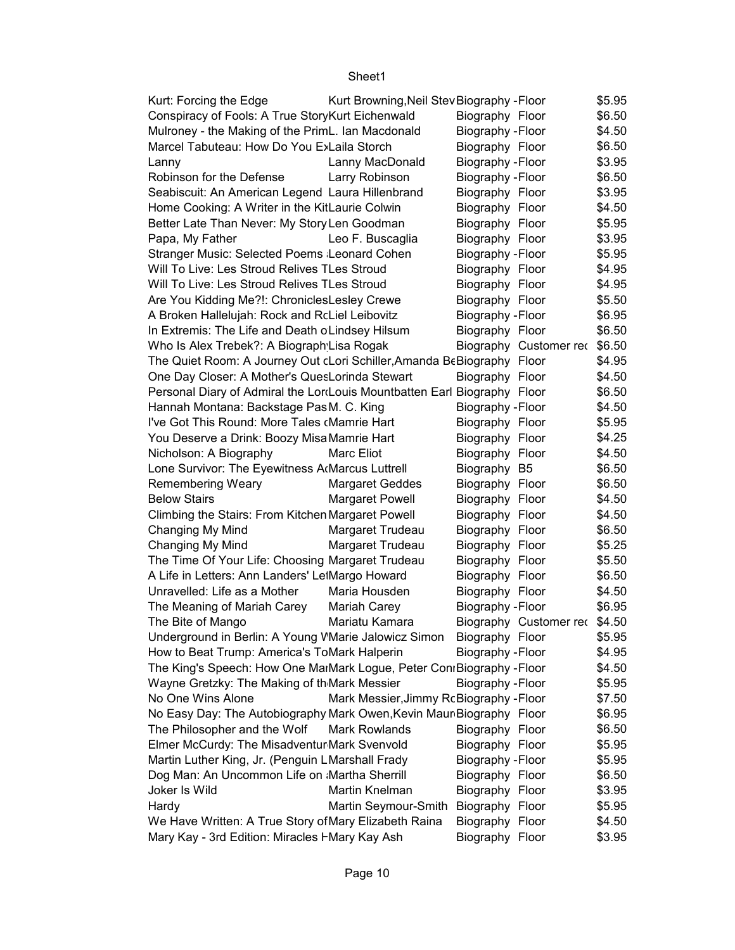| Kurt: Forcing the Edge                                                          | Kurt Browning, Neil Stev Biography - Floor |                          |                               | \$5.95 |
|---------------------------------------------------------------------------------|--------------------------------------------|--------------------------|-------------------------------|--------|
| Conspiracy of Fools: A True StoryKurt Eichenwald                                |                                            | Biography Floor          |                               | \$6.50 |
| Mulroney - the Making of the PrimL. Ian Macdonald                               |                                            | Biography - Floor        |                               | \$4.50 |
| Marcel Tabuteau: How Do You E>Laila Storch                                      |                                            | Biography Floor          |                               | \$6.50 |
| Lanny                                                                           | Lanny MacDonald                            | Biography - Floor        |                               | \$3.95 |
| Robinson for the Defense                                                        | Larry Robinson                             | Biography - Floor        |                               | \$6.50 |
| Seabiscuit: An American Legend Laura Hillenbrand                                |                                            | Biography Floor          |                               | \$3.95 |
| Home Cooking: A Writer in the KitLaurie Colwin                                  |                                            | Biography Floor          |                               | \$4.50 |
| Better Late Than Never: My Story Len Goodman                                    |                                            | Biography Floor          |                               | \$5.95 |
| Papa, My Father                                                                 | Leo F. Buscaglia                           | Biography Floor          |                               | \$3.95 |
| Stranger Music: Selected Poems Leonard Cohen                                    |                                            | Biography - Floor        |                               | \$5.95 |
| Will To Live: Les Stroud Relives TLes Stroud                                    |                                            | Biography Floor          |                               | \$4.95 |
| Will To Live: Les Stroud Relives TLes Stroud                                    |                                            | Biography Floor          |                               | \$4.95 |
| Are You Kidding Me?!: ChroniclesLesley Crewe                                    |                                            | Biography Floor          |                               | \$5.50 |
| A Broken Hallelujah: Rock and RcLiel Leibovitz                                  |                                            | Biography - Floor        |                               | \$6.95 |
| In Extremis: The Life and Death o Lindsey Hilsum                                |                                            | Biography Floor          |                               | \$6.50 |
| Who Is Alex Trebek?: A Biograph Lisa Rogak                                      |                                            |                          | Biography Customer rec        | \$6.50 |
| The Quiet Room: A Journey Out cLori Schiller, Amanda BeBiography Floor          |                                            |                          |                               | \$4.95 |
| One Day Closer: A Mother's QuesLorinda Stewart                                  |                                            | Biography Floor          |                               | \$4.50 |
| Personal Diary of Admiral the LordLouis Mountbatten Earl Biography Floor        |                                            |                          |                               | \$6.50 |
| Hannah Montana: Backstage Pas M. C. King                                        |                                            | Biography - Floor        |                               | \$4.50 |
| I've Got This Round: More Tales (Mamrie Hart                                    |                                            | Biography Floor          |                               | \$5.95 |
| You Deserve a Drink: Boozy Misa Mamrie Hart                                     |                                            | Biography Floor          |                               | \$4.25 |
| Nicholson: A Biography                                                          | Marc Eliot                                 | Biography Floor          |                               | \$4.50 |
| Lone Survivor: The Eyewitness A Marcus Luttrell                                 |                                            | Biography B5             |                               | \$6.50 |
| Remembering Weary                                                               | <b>Margaret Geddes</b>                     | Biography Floor          |                               | \$6.50 |
| <b>Below Stairs</b>                                                             | Margaret Powell                            | Biography Floor          |                               | \$4.50 |
| Climbing the Stairs: From Kitchen Margaret Powell                               |                                            | Biography Floor          |                               | \$4.50 |
| Changing My Mind                                                                | Margaret Trudeau                           | Biography Floor          |                               | \$6.50 |
| Changing My Mind                                                                | Margaret Trudeau                           | Biography Floor          |                               | \$5.25 |
| The Time Of Your Life: Choosing Margaret Trudeau                                |                                            | Biography Floor          |                               | \$5.50 |
|                                                                                 |                                            |                          |                               |        |
| A Life in Letters: Ann Landers' LetMargo Howard<br>Unravelled: Life as a Mother |                                            | Biography Floor          |                               | \$6.50 |
|                                                                                 | Maria Housden                              | Biography Floor          |                               | \$4.50 |
| The Meaning of Mariah Carey                                                     | Mariah Carey                               | Biography - Floor        |                               | \$6.95 |
| The Bite of Mango                                                               | Mariatu Kamara                             |                          | Biography Customer rec \$4.50 |        |
| Underground in Berlin: A Young VMarie Jalowicz Simon Biography Floor            |                                            |                          |                               | \$5.95 |
| How to Beat Trump: America's ToMark Halperin                                    |                                            | <b>Biography - Floor</b> |                               | \$4.95 |
| The King's Speech: How One MaiMark Logue, Peter ConiBiography - Floor           |                                            |                          |                               | \$4.50 |
| Wayne Gretzky: The Making of th Mark Messier                                    |                                            | Biography - Floor        |                               | \$5.95 |
| No One Wins Alone                                                               | Mark Messier, Jimmy RcBiography - Floor    |                          |                               | \$7.50 |
| No Easy Day: The Autobiography Mark Owen, Kevin Maur Biography Floor            |                                            |                          |                               | \$6.95 |
| The Philosopher and the Wolf                                                    | Mark Rowlands                              | Biography Floor          |                               | \$6.50 |
| Elmer McCurdy: The Misadventur Mark Svenvold                                    |                                            | Biography Floor          |                               | \$5.95 |
| Martin Luther King, Jr. (Penguin LMarshall Frady                                |                                            | <b>Biography - Floor</b> |                               | \$5.95 |
| Dog Man: An Uncommon Life on Martha Sherrill                                    |                                            | Biography Floor          |                               | \$6.50 |
| Joker Is Wild                                                                   | Martin Knelman                             | Biography Floor          |                               | \$3.95 |
| Hardy                                                                           | Martin Seymour-Smith                       | Biography Floor          |                               | \$5.95 |
| We Have Written: A True Story of Mary Elizabeth Raina                           |                                            | Biography Floor          |                               | \$4.50 |
| Mary Kay - 3rd Edition: Miracles I Mary Kay Ash                                 |                                            | Biography Floor          |                               | \$3.95 |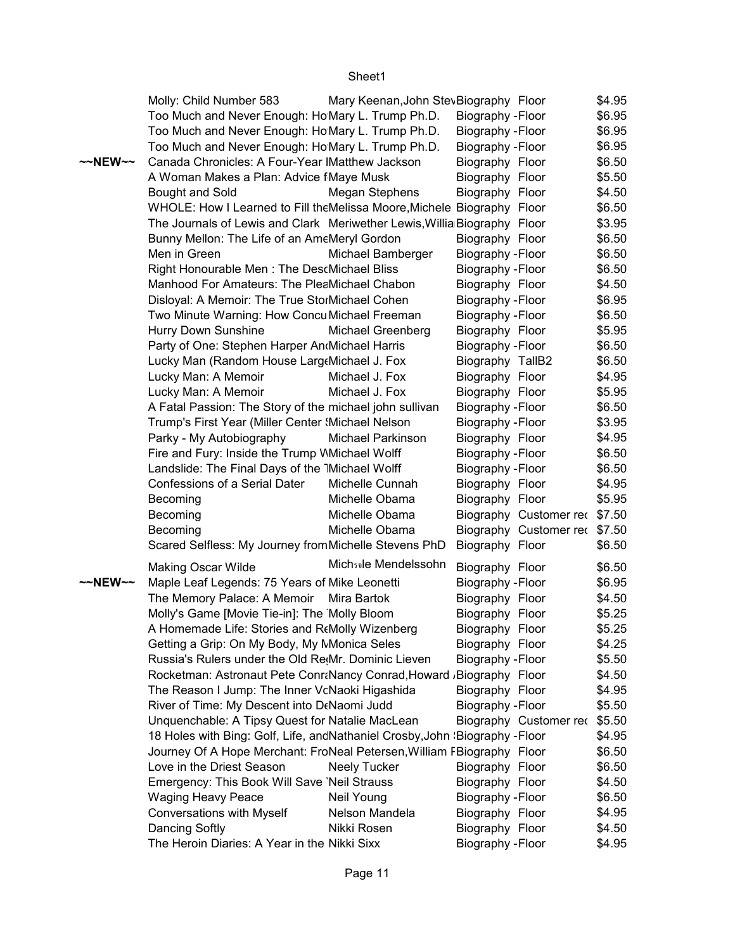|                   | Molly: Child Number 583                                                      | Mary Keenan, John StevBiography Floor |                          |                               | \$4.95 |
|-------------------|------------------------------------------------------------------------------|---------------------------------------|--------------------------|-------------------------------|--------|
|                   | Too Much and Never Enough: Ho Mary L. Trump Ph.D.                            |                                       | Biography - Floor        |                               | \$6.95 |
|                   | Too Much and Never Enough: Ho Mary L. Trump Ph.D.                            |                                       | Biography - Floor        |                               | \$6.95 |
|                   | Too Much and Never Enough: Ho Mary L. Trump Ph.D.                            |                                       | Biography - Floor        |                               | \$6.95 |
| $\sim$ NEW $\sim$ | Canada Chronicles: A Four-Year IMatthew Jackson                              |                                       | Biography Floor          |                               | \$6.50 |
|                   | A Woman Makes a Plan: Advice fMaye Musk                                      |                                       | Biography Floor          |                               | \$5.50 |
|                   | Bought and Sold                                                              | Megan Stephens                        | Biography Floor          |                               | \$4.50 |
|                   | WHOLE: How I Learned to Fill the Melissa Moore, Michele Biography Floor      |                                       |                          |                               | \$6.50 |
|                   | The Journals of Lewis and Clark Meriwether Lewis, Willia Biography Floor     |                                       |                          |                               | \$3.95 |
|                   | Bunny Mellon: The Life of an AmeMeryl Gordon                                 |                                       | Biography Floor          |                               | \$6.50 |
|                   | Men in Green                                                                 | Michael Bamberger                     | Biography - Floor        |                               | \$6.50 |
|                   | Right Honourable Men: The DescMichael Bliss                                  |                                       | Biography - Floor        |                               | \$6.50 |
|                   | Manhood For Amateurs: The PleaMichael Chabon                                 |                                       | Biography Floor          |                               | \$4.50 |
|                   | Disloyal: A Memoir: The True StorMichael Cohen                               |                                       | Biography - Floor        |                               | \$6.95 |
|                   | Two Minute Warning: How Concu Michael Freeman                                |                                       | Biography - Floor        |                               | \$6.50 |
|                   | Hurry Down Sunshine                                                          | Michael Greenberg                     | Biography Floor          |                               | \$5.95 |
|                   | Party of One: Stephen Harper AndMichael Harris                               |                                       | Biography - Floor        |                               | \$6.50 |
|                   | Lucky Man (Random House Large Michael J. Fox                                 |                                       | Biography TallB2         |                               | \$6.50 |
|                   | Lucky Man: A Memoir                                                          | Michael J. Fox                        | Biography Floor          |                               | \$4.95 |
|                   | Lucky Man: A Memoir                                                          | Michael J. Fox                        | Biography Floor          |                               | \$5.95 |
|                   | A Fatal Passion: The Story of the michael john sullivan                      |                                       | Biography - Floor        |                               | \$6.50 |
|                   | Trump's First Year (Miller Center 'Michael Nelson                            |                                       | Biography - Floor        |                               | \$3.95 |
|                   | Parky - My Autobiography                                                     | Michael Parkinson                     | Biography Floor          |                               | \$4.95 |
|                   | Fire and Fury: Inside the Trump MMichael Wolff                               |                                       | Biography - Floor        |                               | \$6.50 |
|                   | Landslide: The Final Days of the 1Michael Wolff                              |                                       | Biography - Floor        |                               | \$6.50 |
|                   | Confessions of a Serial Dater                                                | Michelle Cunnah                       | Biography Floor          |                               | \$4.95 |
|                   | Becoming                                                                     | Michelle Obama                        | Biography Floor          |                               | \$5.95 |
|                   | Becoming                                                                     | Michelle Obama                        |                          | Biography Customer rec \$7.50 |        |
|                   | Becoming                                                                     | Michelle Obama                        |                          | Biography Customer rec \$7.50 |        |
|                   | Scared Selfless: My Journey from Michelle Stevens PhD                        |                                       | Biography Floor          |                               | \$6.50 |
|                   | <b>Making Oscar Wilde</b>                                                    | Mich <sub>39</sub> le Mendelssohn     | Biography Floor          |                               | \$6.50 |
| $\sim$ NEW $\sim$ | Maple Leaf Legends: 75 Years of Mike Leonetti                                |                                       | Biography - Floor        |                               | \$6.95 |
|                   | The Memory Palace: A Memoir Mira Bartok                                      |                                       | Biography Floor          |                               | \$4.50 |
|                   | Molly's Game [Movie Tie-in]: The Molly Bloom                                 |                                       | Biography Floor          |                               | \$5.25 |
|                   | A Homemade Life: Stories and R(Molly Wizenberg                               |                                       | Biography Floor          |                               | \$5.25 |
|                   | Getting a Grip: On My Body, My MMonica Seles                                 |                                       | Biography Floor          |                               | \$4.25 |
|                   | Russia's Rulers under the Old Re <sub>!</sub> Mr. Dominic Lieven             |                                       | <b>Biography - Floor</b> |                               | \$5.50 |
|                   | Rocketman: Astronaut Pete Conrancy Conrad, Howard , Biography Floor          |                                       |                          |                               | \$4.50 |
|                   | The Reason I Jump: The Inner VcNaoki Higashida                               |                                       | Biography Floor          |                               | \$4.95 |
|                   | River of Time: My Descent into D(Naomi Judd                                  |                                       | Biography - Floor        |                               | \$5.50 |
|                   | Unquenchable: A Tipsy Quest for Natalie MacLean                              |                                       |                          | Biography Customer rec        | \$5.50 |
|                   | 18 Holes with Bing: Golf, Life, ancNathaniel Crosby, John (Biography - Floor |                                       |                          |                               | \$4.95 |
|                   | Journey Of A Hope Merchant: FroNeal Petersen, William FBiography Floor       |                                       |                          |                               | \$6.50 |
|                   | Love in the Driest Season                                                    | <b>Neely Tucker</b>                   | Biography Floor          |                               | \$6.50 |
|                   | Emergency: This Book Will Save 'Neil Strauss                                 |                                       | Biography Floor          |                               | \$4.50 |
|                   | <b>Waging Heavy Peace</b>                                                    | Neil Young                            | <b>Biography - Floor</b> |                               | \$6.50 |
|                   | <b>Conversations with Myself</b>                                             | Nelson Mandela                        | Biography Floor          |                               | \$4.95 |
|                   | Dancing Softly                                                               | Nikki Rosen                           | Biography Floor          |                               | \$4.50 |
|                   | The Heroin Diaries: A Year in the Nikki Sixx                                 |                                       | Biography - Floor        |                               | \$4.95 |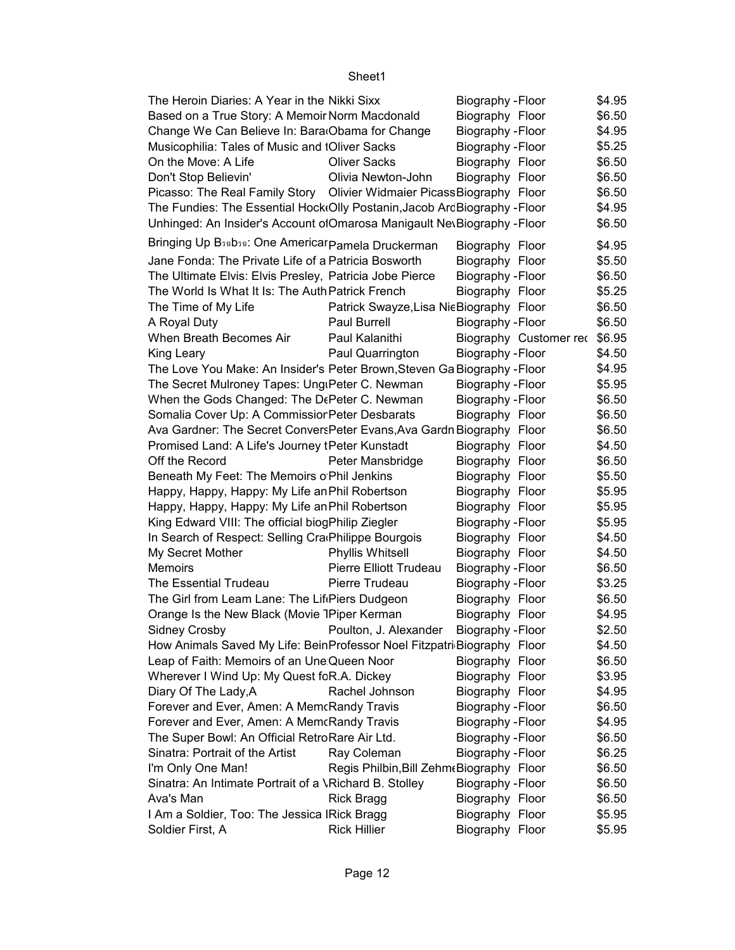| The Heroin Diaries: A Year in the Nikki Sixx                                 |                                           | Biography - Floor        |                               | \$4.95 |
|------------------------------------------------------------------------------|-------------------------------------------|--------------------------|-------------------------------|--------|
| Based on a True Story: A Memoir Norm Macdonald                               |                                           | Biography Floor          |                               | \$6.50 |
| Change We Can Believe In: Bara Obama for Change                              |                                           | Biography - Floor        |                               | \$4.95 |
| Musicophilia: Tales of Music and IOliver Sacks                               |                                           | Biography - Floor        |                               | \$5.25 |
| On the Move: A Life                                                          | <b>Oliver Sacks</b>                       | Biography Floor          |                               | \$6.50 |
| Don't Stop Believin'                                                         | Olivia Newton-John                        | Biography Floor          |                               | \$6.50 |
| Picasso: The Real Family Story Olivier Widmaier Picass Biography Floor       |                                           |                          |                               | \$6.50 |
| The Fundies: The Essential Hock(Olly Postanin, Jacob ArdBiography - Floor    |                                           |                          |                               | \$4.95 |
| Unhinged: An Insider's Account ofOmarosa Manigault NevBiography - Floor      |                                           |                          |                               | \$6.50 |
| Bringing Up B <sub>39</sub> D <sub>39</sub> : One Americar pamela Druckerman |                                           | Biography Floor          |                               | \$4.95 |
| Jane Fonda: The Private Life of a Patricia Bosworth                          |                                           | Biography Floor          |                               | \$5.50 |
| The Ultimate Elvis: Elvis Presley, Patricia Jobe Pierce                      |                                           | Biography - Floor        |                               | \$6.50 |
| The World Is What It Is: The Auth Patrick French                             |                                           | Biography Floor          |                               | \$5.25 |
| The Time of My Life                                                          | Patrick Swayze, Lisa Nie Biography Floor  |                          |                               | \$6.50 |
| A Royal Duty                                                                 | Paul Burrell                              | Biography - Floor        |                               | \$6.50 |
| When Breath Becomes Air                                                      | Paul Kalanithi                            |                          | Biography Customer rec \$6.95 |        |
| King Leary                                                                   | Paul Quarrington                          | Biography - Floor        |                               | \$4.50 |
| The Love You Make: An Insider's Peter Brown, Steven Ga Biography - Floor     |                                           |                          |                               | \$4.95 |
| The Secret Mulroney Tapes: UngiPeter C. Newman                               |                                           | Biography - Floor        |                               | \$5.95 |
| When the Gods Changed: The DePeter C. Newman                                 |                                           | <b>Biography - Floor</b> |                               | \$6.50 |
| Somalia Cover Up: A Commissior Peter Desbarats                               |                                           | Biography Floor          |                               | \$6.50 |
| Ava Gardner: The Secret Convers Peter Evans, Ava Gardn Biography Floor       |                                           |                          |                               | \$6.50 |
| Promised Land: A Life's Journey tPeter Kunstadt                              |                                           | Biography Floor          |                               | \$4.50 |
| Off the Record                                                               | Peter Mansbridge                          | Biography Floor          |                               | \$6.50 |
| Beneath My Feet: The Memoirs o Phil Jenkins                                  |                                           | Biography Floor          |                               | \$5.50 |
| Happy, Happy, Happy: My Life an Phil Robertson                               |                                           | Biography Floor          |                               | \$5.95 |
| Happy, Happy, Happy: My Life an Phil Robertson                               |                                           | Biography Floor          |                               | \$5.95 |
| King Edward VIII: The official biogPhilip Ziegler                            |                                           | Biography - Floor        |                               | \$5.95 |
| In Search of Respect: Selling Cra Philippe Bourgois                          |                                           | Biography Floor          |                               | \$4.50 |
| My Secret Mother                                                             | Phyllis Whitsell                          | Biography Floor          |                               | \$4.50 |
| Memoirs                                                                      | Pierre Elliott Trudeau                    | Biography - Floor        |                               | \$6.50 |
| The Essential Trudeau                                                        | Pierre Trudeau                            | Biography - Floor        |                               | \$3.25 |
| The Girl from Leam Lane: The Lif Piers Dudgeon                               |                                           | Biography Floor          |                               | \$6.50 |
| Orange Is the New Black (Movie 1Piper Kerman                                 |                                           | Biography Floor          |                               | \$4.95 |
| Sidney Crosby <b>Example 2</b> Poulton, J. Alexander Biography - Floor       |                                           |                          |                               | \$2.50 |
| How Animals Saved My Life: BeinProfessor Noel Fitzpatri Biography Floor      |                                           |                          |                               | \$4.50 |
| Leap of Faith: Memoirs of an Une Queen Noor                                  |                                           | Biography Floor          |                               | \$6.50 |
| Wherever I Wind Up: My Quest fcR.A. Dickey                                   |                                           | Biography Floor          |                               | \$3.95 |
| Diary Of The Lady, A                                                         | Rachel Johnson                            | Biography Floor          |                               | \$4.95 |
| Forever and Ever, Amen: A MemcRandy Travis                                   |                                           | Biography - Floor        |                               | \$6.50 |
| Forever and Ever, Amen: A MemcRandy Travis                                   |                                           | <b>Biography - Floor</b> |                               | \$4.95 |
| The Super Bowl: An Official RetroRare Air Ltd.                               |                                           | Biography - Floor        |                               | \$6.50 |
| Sinatra: Portrait of the Artist                                              | Ray Coleman                               | Biography - Floor        |                               | \$6.25 |
| I'm Only One Man!                                                            | Regis Philbin, Bill Zehm (Biography Floor |                          |                               | \$6.50 |
| Sinatra: An Intimate Portrait of a \Richard B. Stolley                       |                                           | Biography - Floor        |                               | \$6.50 |
| Ava's Man                                                                    | <b>Rick Bragg</b>                         | Biography Floor          |                               | \$6.50 |
| I Am a Soldier, Too: The Jessica IRick Bragg                                 |                                           | Biography Floor          |                               | \$5.95 |
| Soldier First, A                                                             | <b>Rick Hillier</b>                       | Biography Floor          |                               | \$5.95 |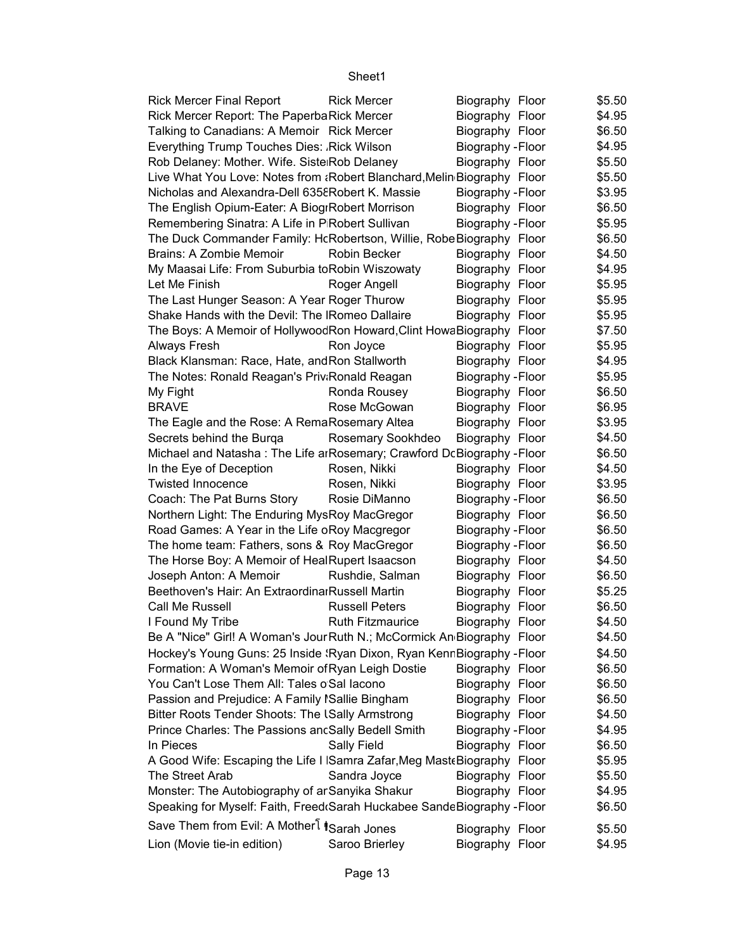| <b>Rick Mercer Final Report</b>                                          | <b>Rick Mercer</b>      | Biography Floor   | \$5.50 |
|--------------------------------------------------------------------------|-------------------------|-------------------|--------|
| Rick Mercer Report: The PaperbaRick Mercer                               |                         | Biography Floor   | \$4.95 |
| Talking to Canadians: A Memoir Rick Mercer                               |                         | Biography Floor   | \$6.50 |
| Everything Trump Touches Dies: Rick Wilson                               |                         | Biography - Floor | \$4.95 |
| Rob Delaney: Mother. Wife. Siste Rob Delaney                             |                         | Biography Floor   | \$5.50 |
| Live What You Love: Notes from : Robert Blanchard, Melin Biography Floor |                         |                   | \$5.50 |
| Nicholas and Alexandra-Dell 6358 Robert K. Massie                        |                         | Biography - Floor | \$3.95 |
| The English Opium-Eater: A BiogrRobert Morrison                          |                         | Biography Floor   | \$6.50 |
| Remembering Sinatra: A Life in P Robert Sullivan                         |                         | Biography - Floor | \$5.95 |
| The Duck Commander Family: HcRobertson, Willie, RobeBiography Floor      |                         |                   | \$6.50 |
| <b>Brains: A Zombie Memoir</b>                                           | Robin Becker            | Biography Floor   | \$4.50 |
| My Maasai Life: From Suburbia toRobin Wiszowaty                          |                         | Biography Floor   | \$4.95 |
| Let Me Finish                                                            | Roger Angell            | Biography Floor   | \$5.95 |
| The Last Hunger Season: A Year Roger Thurow                              |                         | Biography Floor   | \$5.95 |
| Shake Hands with the Devil: The IRomeo Dallaire                          |                         | Biography Floor   | \$5.95 |
| The Boys: A Memoir of Hollywood Ron Howard, Clint Howa Biography Floor   |                         |                   | \$7.50 |
| Always Fresh                                                             | Ron Joyce               | Biography Floor   | \$5.95 |
| Black Klansman: Race, Hate, and Ron Stallworth                           |                         | Biography Floor   | \$4.95 |
| The Notes: Ronald Reagan's Priv Ronald Reagan                            |                         | Biography - Floor | \$5.95 |
| My Fight                                                                 | Ronda Rousey            | Biography Floor   | \$6.50 |
| <b>BRAVE</b>                                                             | Rose McGowan            | Biography Floor   | \$6.95 |
| The Eagle and the Rose: A RemaRosemary Altea                             |                         | Biography Floor   | \$3.95 |
| Secrets behind the Burga                                                 | Rosemary Sookhdeo       | Biography Floor   | \$4.50 |
| Michael and Natasha: The Life arRosemary; Crawford DcBiography - Floor   |                         |                   | \$6.50 |
| In the Eye of Deception                                                  | Rosen, Nikki            | Biography Floor   | \$4.50 |
| <b>Twisted Innocence</b>                                                 | Rosen, Nikki            | Biography Floor   | \$3.95 |
| Coach: The Pat Burns Story                                               | Rosie DiManno           | Biography - Floor | \$6.50 |
| Northern Light: The Enduring MysRoy MacGregor                            |                         | Biography Floor   | \$6.50 |
| Road Games: A Year in the Life oRoy Macgregor                            |                         | Biography - Floor | \$6.50 |
| The home team: Fathers, sons & Roy MacGregor                             |                         | Biography - Floor | \$6.50 |
| The Horse Boy: A Memoir of HealRupert Isaacson                           |                         | Biography Floor   | \$4.50 |
| Joseph Anton: A Memoir                                                   | Rushdie, Salman         | Biography Floor   | \$6.50 |
| Beethoven's Hair: An Extraordinal Russell Martin                         |                         | Biography Floor   | \$5.25 |
| Call Me Russell                                                          | <b>Russell Peters</b>   | Biography Floor   | \$6.50 |
| I Found My Tribe                                                         | <b>Ruth Fitzmaurice</b> | Biography Floor   | \$4.50 |
| Be A "Nice" Girl! A Woman's Jour Ruth N.; McCormick An Biography Floor   |                         |                   | \$4.50 |
| Hockey's Young Guns: 25 Inside 'Ryan Dixon, Ryan KennBiography - Floor   |                         |                   | \$4.50 |
| Formation: A Woman's Memoir of Ryan Leigh Dostie                         |                         | Biography Floor   | \$6.50 |
| You Can't Lose Them All: Tales o Sal Iacono                              |                         | Biography Floor   | \$6.50 |
| Passion and Prejudice: A Family ISallie Bingham                          |                         | Biography Floor   | \$6.50 |
| Bitter Roots Tender Shoots: The ISally Armstrong                         |                         | Biography Floor   | \$4.50 |
| Prince Charles: The Passions ancSally Bedell Smith                       |                         | Biography - Floor | \$4.95 |
| In Pieces                                                                | Sally Field             | Biography Floor   | \$6.50 |
| A Good Wife: Escaping the Life I Samra Zafar, Meg Mast Biography Floor   |                         |                   | \$5.95 |
| The Street Arab                                                          | Sandra Joyce            | Biography Floor   | \$5.50 |
| Monster: The Autobiography of ar Sanyika Shakur                          |                         | Biography Floor   | \$4.95 |
| Speaking for Myself: Faith, Freed Sarah Huckabee SandeBiography - Floor  |                         |                   | \$6.50 |
|                                                                          |                         |                   |        |
| Save Them from Evil: A Mother <sup>[</sup> iSarah Jones                  |                         | Biography Floor   | \$5.50 |
| Lion (Movie tie-in edition)                                              | Saroo Brierley          | Biography Floor   | \$4.95 |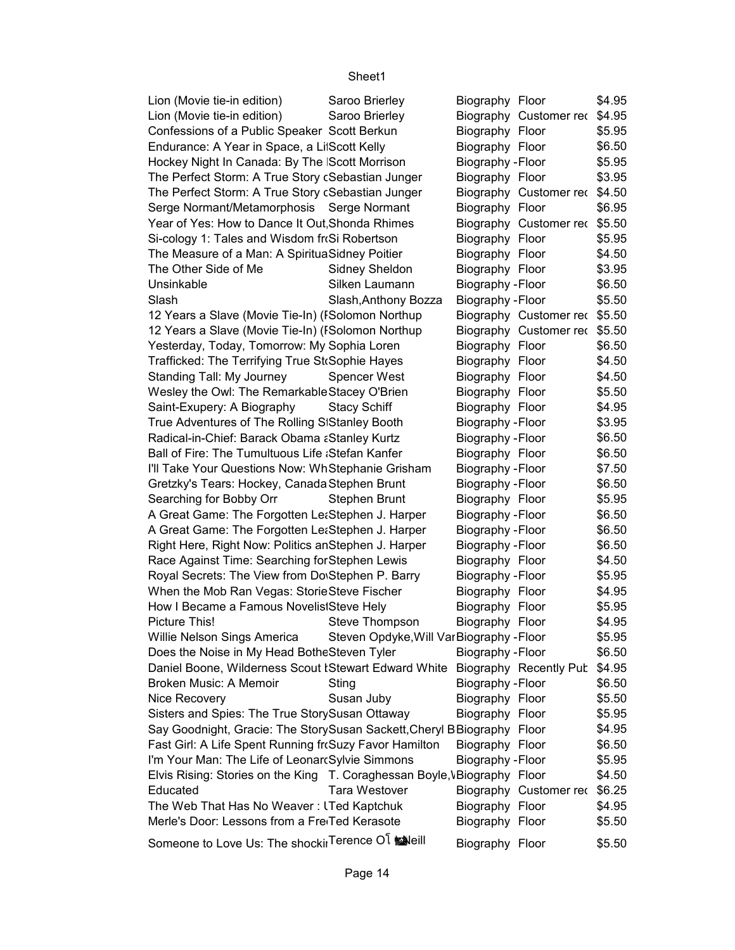| Lion (Movie tie-in edition)                                                          | Saroo Brierley                            | Biography Floor        | \$4.95 |
|--------------------------------------------------------------------------------------|-------------------------------------------|------------------------|--------|
| Lion (Movie tie-in edition)                                                          | Saroo Brierley                            | Biography Customer rec | \$4.95 |
| Confessions of a Public Speaker Scott Berkun                                         |                                           | Biography Floor        | \$5.95 |
| Endurance: A Year in Space, a LitScott Kelly                                         |                                           | Biography Floor        | \$6.50 |
| Hockey Night In Canada: By The Scott Morrison                                        |                                           | Biography - Floor      | \$5.95 |
| The Perfect Storm: A True Story cSebastian Junger                                    |                                           | Biography Floor        | \$3.95 |
| The Perfect Storm: A True Story cSebastian Junger                                    |                                           | Biography Customer rec | \$4.50 |
| Serge Normant/Metamorphosis Serge Normant                                            |                                           | Biography Floor        | \$6.95 |
| Year of Yes: How to Dance It Out Shonda Rhimes                                       |                                           | Biography Customer rec | \$5.50 |
| Si-cology 1: Tales and Wisdom froSi Robertson                                        |                                           | Biography Floor        | \$5.95 |
| The Measure of a Man: A SpirituaSidney Poitier                                       |                                           | Biography Floor        | \$4.50 |
| The Other Side of Me                                                                 | Sidney Sheldon                            |                        | \$3.95 |
|                                                                                      |                                           | Biography Floor        |        |
| Unsinkable                                                                           | Silken Laumann                            | Biography - Floor      | \$6.50 |
| Slash                                                                                | Slash, Anthony Bozza                      | Biography - Floor      | \$5.50 |
| 12 Years a Slave (Movie Tie-In) (ISolomon Northup                                    |                                           | Biography Customer rec | \$5.50 |
| 12 Years a Slave (Movie Tie-In) (ISolomon Northup                                    |                                           | Biography Customer rec | \$5.50 |
| Yesterday, Today, Tomorrow: My Sophia Loren                                          |                                           | Biography Floor        | \$6.50 |
| Trafficked: The Terrifying True St Sophie Hayes                                      |                                           | Biography Floor        | \$4.50 |
| Standing Tall: My Journey                                                            | <b>Spencer West</b>                       | Biography Floor        | \$4.50 |
| Wesley the Owl: The Remarkable Stacey O'Brien                                        |                                           | Biography Floor        | \$5.50 |
| Saint-Exupery: A Biography                                                           | <b>Stacy Schiff</b>                       | Biography Floor        | \$4.95 |
| True Adventures of The Rolling SiStanley Booth                                       |                                           | Biography - Floor      | \$3.95 |
| Radical-in-Chief: Barack Obama aStanley Kurtz                                        |                                           | Biography - Floor      | \$6.50 |
| Ball of Fire: The Tumultuous Life (Stefan Kanfer                                     |                                           | Biography Floor        | \$6.50 |
| I'll Take Your Questions Now: WhStephanie Grisham                                    |                                           | Biography - Floor      | \$7.50 |
| Gretzky's Tears: Hockey, Canada Stephen Brunt                                        |                                           | Biography - Floor      | \$6.50 |
| Searching for Bobby Orr                                                              | Stephen Brunt                             | Biography Floor        | \$5.95 |
| A Great Game: The Forgotten LetStephen J. Harper                                     |                                           | Biography - Floor      | \$6.50 |
| A Great Game: The Forgotten Let Stephen J. Harper                                    |                                           | Biography - Floor      | \$6.50 |
| Right Here, Right Now: Politics anStephen J. Harper                                  |                                           | Biography - Floor      | \$6.50 |
| Race Against Time: Searching for Stephen Lewis                                       |                                           | Biography Floor        | \$4.50 |
| Royal Secrets: The View from Do Stephen P. Barry                                     |                                           | Biography - Floor      | \$5.95 |
| When the Mob Ran Vegas: Storie Steve Fischer                                         |                                           | Biography Floor        | \$4.95 |
| How I Became a Famous NovelistSteve Hely                                             |                                           | Biography Floor        | \$5.95 |
| Picture This!                                                                        | <b>Steve Thompson</b>                     | Biography Floor        | \$4.95 |
| Willie Nelson Sings America                                                          | Steven Opdyke, Will Var Biography - Floor |                        | \$5.95 |
| Does the Noise in My Head BotheSteven Tyler                                          |                                           | Biography - Floor      | \$6.50 |
| Daniel Boone, Wilderness Scout IStewart Edward White                                 |                                           | Biography Recently Pub | \$4.95 |
| Broken Music: A Memoir                                                               | Sting                                     | Biography - Floor      | \$6.50 |
| Nice Recovery                                                                        | Susan Juby                                | Biography Floor        | \$5.50 |
| Sisters and Spies: The True StorySusan Ottaway                                       |                                           | Biography Floor        | \$5.95 |
| Say Goodnight, Gracie: The StorySusan Sackett, Cheryl BBiography Floor               |                                           |                        | \$4.95 |
| Fast Girl: A Life Spent Running fr(Suzy Favor Hamilton                               |                                           | Biography Floor        | \$6.50 |
| I'm Your Man: The Life of Leonarc Sylvie Simmons                                     |                                           | Biography - Floor      | \$5.95 |
|                                                                                      |                                           |                        |        |
| Elvis Rising: Stories on the King T. Coraghessan Boyle, VBiography Floor<br>Educated | <b>Tara Westover</b>                      |                        | \$4.50 |
|                                                                                      |                                           | Biography Customer rec | \$6.25 |
| The Web That Has No Weaver: LTed Kaptchuk                                            |                                           | Biography Floor        | \$4.95 |
| Merle's Door: Lessons from a Fre <sub>'</sub> Ted Kerasote                           |                                           | Biography Floor        | \$5.50 |
| Someone to Love Us: The shockil Terence O1                                           |                                           | Biography Floor        | \$5.50 |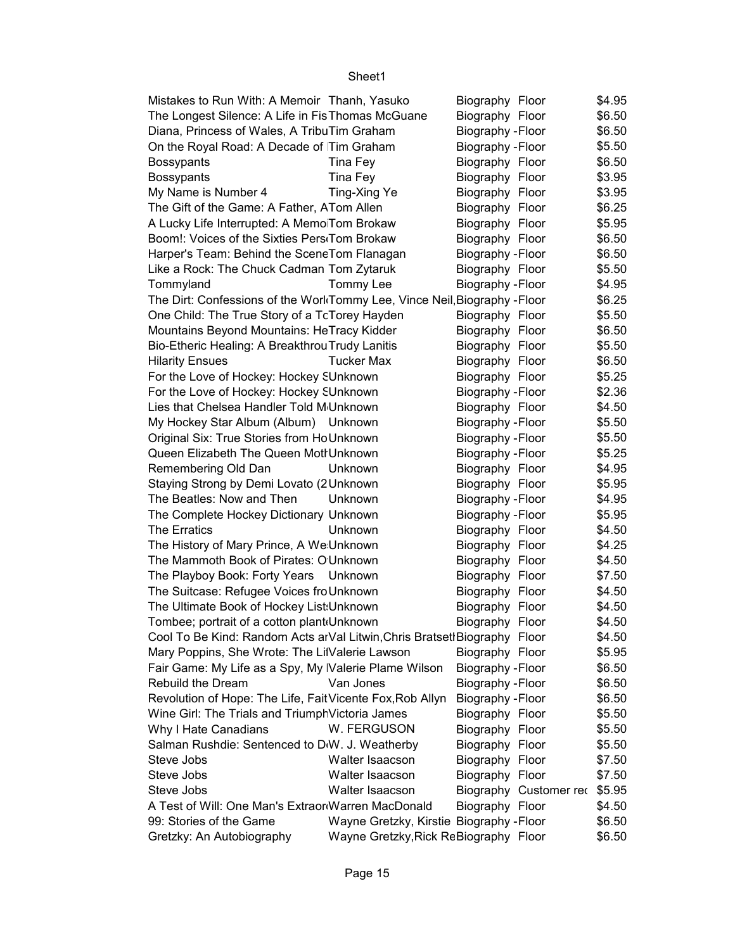| Mistakes to Run With: A Memoir Thanh, Yasuko                               |                                          | Biography Floor   |                        | \$4.95 |
|----------------------------------------------------------------------------|------------------------------------------|-------------------|------------------------|--------|
| The Longest Silence: A Life in FisThomas McGuane                           |                                          | Biography Floor   |                        | \$6.50 |
| Diana, Princess of Wales, A TribuTim Graham                                |                                          | Biography - Floor |                        | \$6.50 |
| On the Royal Road: A Decade of Tim Graham                                  |                                          | Biography - Floor |                        | \$5.50 |
| <b>Bossypants</b>                                                          | Tina Fey                                 | Biography Floor   |                        | \$6.50 |
| <b>Bossypants</b>                                                          | Tina Fey                                 | Biography Floor   |                        | \$3.95 |
| My Name is Number 4                                                        | Ting-Xing Ye                             | Biography Floor   |                        | \$3.95 |
| The Gift of the Game: A Father, ATom Allen                                 |                                          | Biography Floor   |                        | \$6.25 |
| A Lucky Life Interrupted: A Memo Tom Brokaw                                |                                          | Biography Floor   |                        | \$5.95 |
| Boom!: Voices of the Sixties Pers <sub>'</sub> Tom Brokaw                  |                                          | Biography Floor   |                        | \$6.50 |
| Harper's Team: Behind the SceneTom Flanagan                                |                                          | Biography - Floor |                        | \$6.50 |
| Like a Rock: The Chuck Cadman Tom Zytaruk                                  |                                          | Biography Floor   |                        | \$5.50 |
| Tommyland                                                                  | Tommy Lee                                | Biography - Floor |                        | \$4.95 |
| The Dirt: Confessions of the Worl Tommy Lee, Vince Neil, Biography - Floor |                                          |                   |                        | \$6.25 |
| One Child: The True Story of a TcTorey Hayden                              |                                          | Biography Floor   |                        | \$5.50 |
| Mountains Beyond Mountains: HeTracy Kidder                                 |                                          | Biography Floor   |                        | \$6.50 |
| Bio-Etheric Healing: A Breakthrou Trudy Lanitis                            |                                          | Biography Floor   |                        | \$5.50 |
| <b>Hilarity Ensues</b>                                                     | <b>Tucker Max</b>                        | Biography Floor   |                        | \$6.50 |
| For the Love of Hockey: Hockey SUnknown                                    |                                          | Biography Floor   |                        | \$5.25 |
| For the Love of Hockey: Hockey SUnknown                                    |                                          | Biography - Floor |                        | \$2.36 |
| Lies that Chelsea Handler Told M Unknown                                   |                                          | Biography Floor   |                        | \$4.50 |
| My Hockey Star Album (Album) Unknown                                       |                                          | Biography - Floor |                        | \$5.50 |
| Original Six: True Stories from HoUnknown                                  |                                          | Biography - Floor |                        | \$5.50 |
| Queen Elizabeth The Queen Motl Unknown                                     |                                          | Biography - Floor |                        | \$5.25 |
| Remembering Old Dan                                                        | Unknown                                  | Biography Floor   |                        | \$4.95 |
| Staying Strong by Demi Lovato (2 Unknown                                   |                                          | Biography Floor   |                        | \$5.95 |
| The Beatles: Now and Then                                                  | Unknown                                  | Biography - Floor |                        | \$4.95 |
|                                                                            |                                          |                   |                        | \$5.95 |
| The Complete Hockey Dictionary Unknown                                     |                                          | Biography - Floor |                        |        |
| The Erratics                                                               | Unknown                                  | Biography Floor   |                        | \$4.50 |
| The History of Mary Prince, A We Unknown                                   |                                          | Biography Floor   |                        | \$4.25 |
| The Mammoth Book of Pirates: O Unknown                                     |                                          | Biography Floor   |                        | \$4.50 |
| The Playboy Book: Forty Years Unknown                                      |                                          | Biography Floor   |                        | \$7.50 |
| The Suitcase: Refugee Voices fro Unknown                                   |                                          | Biography Floor   |                        | \$4.50 |
| The Ultimate Book of Hockey List: Unknown                                  |                                          | Biography Floor   |                        | \$4.50 |
| Tombee; portrait of a cotton plant Unknown                                 |                                          | Biography Floor   |                        | \$4.50 |
| Cool To Be Kind: Random Acts arVal Litwin, Chris Bratset Biography Floor   |                                          |                   |                        | \$4.50 |
| Mary Poppins, She Wrote: The LilValerie Lawson                             |                                          | Biography Floor   |                        | \$5.95 |
| Fair Game: My Life as a Spy, My Valerie Plame Wilson                       |                                          | Biography - Floor |                        | \$6.50 |
| Rebuild the Dream                                                          | Van Jones                                | Biography - Floor |                        | \$6.50 |
| Revolution of Hope: The Life, FaitVicente Fox, Rob Allyn                   |                                          | Biography - Floor |                        | \$6.50 |
| Wine Girl: The Trials and Triumph Victoria James                           |                                          | Biography Floor   |                        | \$5.50 |
| Why I Hate Canadians                                                       | W. FERGUSON                              | Biography Floor   |                        | \$5.50 |
| Salman Rushdie: Sentenced to D <sub>W</sub> . J. Weatherby                 |                                          | Biography Floor   |                        | \$5.50 |
| Steve Jobs                                                                 | Walter Isaacson                          | Biography Floor   |                        | \$7.50 |
| Steve Jobs                                                                 | Walter Isaacson                          | Biography Floor   |                        | \$7.50 |
| Steve Jobs                                                                 | Walter Isaacson                          |                   | Biography Customer rec | \$5.95 |
| A Test of Will: One Man's Extraor Warren MacDonald                         |                                          | Biography Floor   |                        | \$4.50 |
| 99: Stories of the Game                                                    | Wayne Gretzky, Kirstie Biography - Floor |                   |                        | \$6.50 |
| Gretzky: An Autobiography                                                  | Wayne Gretzky, Rick ReBiography Floor    |                   |                        | \$6.50 |
|                                                                            |                                          |                   |                        |        |